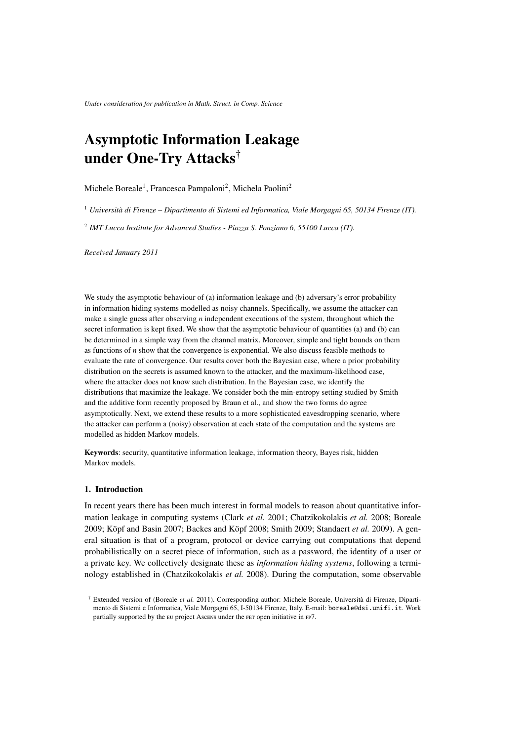*Under consideration for publication in Math. Struct. in Comp. Science*

# Asymptotic Information Leakage under One-Try Attacks†

Michele Boreale<sup>1</sup>, Francesca Pampaloni<sup>2</sup>, Michela Paolini<sup>2</sup>

<sup>1</sup> *Università di Firenze – Dipartimento di Sistemi ed Informatica, Viale Morgagni 65, 50134 Firenze (IT).*

2 *IMT Lucca Institute for Advanced Studies - Piazza S. Ponziano 6, 55100 Lucca (IT).*

*Received January 2011*

We study the asymptotic behaviour of (a) information leakage and (b) adversary's error probability in information hiding systems modelled as noisy channels. Specifically, we assume the attacker can make a single guess after observing *n* independent executions of the system, throughout which the secret information is kept fixed. We show that the asymptotic behaviour of quantities (a) and (b) can be determined in a simple way from the channel matrix. Moreover, simple and tight bounds on them as functions of *n* show that the convergence is exponential. We also discuss feasible methods to evaluate the rate of convergence. Our results cover both the Bayesian case, where a prior probability distribution on the secrets is assumed known to the attacker, and the maximum-likelihood case, where the attacker does not know such distribution. In the Bayesian case, we identify the distributions that maximize the leakage. We consider both the min-entropy setting studied by Smith and the additive form recently proposed by Braun et al., and show the two forms do agree asymptotically. Next, we extend these results to a more sophisticated eavesdropping scenario, where the attacker can perform a (noisy) observation at each state of the computation and the systems are modelled as hidden Markov models.

Keywords: security, quantitative information leakage, information theory, Bayes risk, hidden Markov models.

## 1. Introduction

In recent years there has been much interest in formal models to reason about quantitative information leakage in computing systems (Clark *et al.* 2001; Chatzikokolakis *et al.* 2008; Boreale 2009; Köpf and Basin 2007; Backes and Köpf 2008; Smith 2009; Standaert *et al.* 2009). A general situation is that of a program, protocol or device carrying out computations that depend probabilistically on a secret piece of information, such as a password, the identity of a user or a private key. We collectively designate these as *information hiding systems*, following a terminology established in (Chatzikokolakis *et al.* 2008). During the computation, some observable

<sup>†</sup> Extended version of (Boreale *et al.* 2011). Corresponding author: Michele Boreale, Università di Firenze, Dipartimento di Sistemi e Informatica, Viale Morgagni 65, I-50134 Firenze, Italy. E-mail: boreale@dsi.unifi.it. Work partially supported by the EU project Ascens under the FET open initiative in FP7.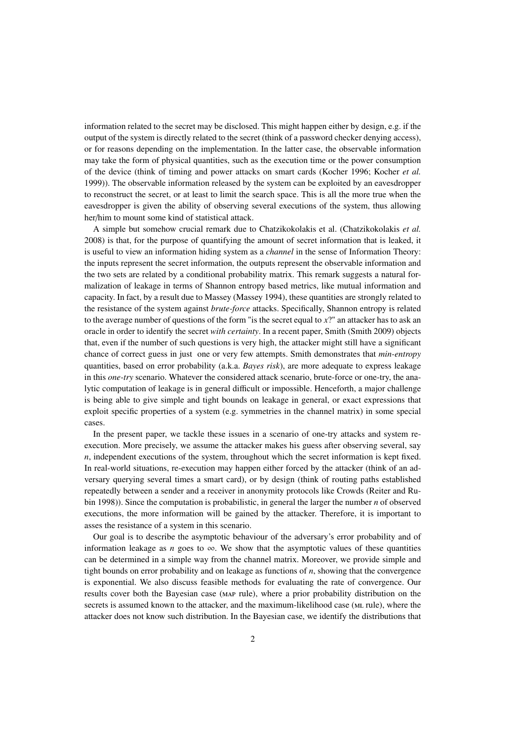information related to the secret may be disclosed. This might happen either by design, e.g. if the output of the system is directly related to the secret (think of a password checker denying access), or for reasons depending on the implementation. In the latter case, the observable information may take the form of physical quantities, such as the execution time or the power consumption of the device (think of timing and power attacks on smart cards (Kocher 1996; Kocher *et al.* 1999)). The observable information released by the system can be exploited by an eavesdropper to reconstruct the secret, or at least to limit the search space. This is all the more true when the eavesdropper is given the ability of observing several executions of the system, thus allowing her/him to mount some kind of statistical attack.

A simple but somehow crucial remark due to Chatzikokolakis et al. (Chatzikokolakis *et al.* 2008) is that, for the purpose of quantifying the amount of secret information that is leaked, it is useful to view an information hiding system as a *channel* in the sense of Information Theory: the inputs represent the secret information, the outputs represent the observable information and the two sets are related by a conditional probability matrix. This remark suggests a natural formalization of leakage in terms of Shannon entropy based metrics, like mutual information and capacity. In fact, by a result due to Massey (Massey 1994), these quantities are strongly related to the resistance of the system against *brute-force* attacks. Specifically, Shannon entropy is related to the average number of questions of the form "is the secret equal to *x*?" an attacker has to ask an oracle in order to identify the secret *with certainty*. In a recent paper, Smith (Smith 2009) objects that, even if the number of such questions is very high, the attacker might still have a significant chance of correct guess in just one or very few attempts. Smith demonstrates that *min-entropy* quantities, based on error probability (a.k.a. *Bayes risk*), are more adequate to express leakage in this *one-try* scenario. Whatever the considered attack scenario, brute-force or one-try, the analytic computation of leakage is in general difficult or impossible. Henceforth, a major challenge is being able to give simple and tight bounds on leakage in general, or exact expressions that exploit specific properties of a system (e.g. symmetries in the channel matrix) in some special cases.

In the present paper, we tackle these issues in a scenario of one-try attacks and system reexecution. More precisely, we assume the attacker makes his guess after observing several, say *n*, independent executions of the system, throughout which the secret information is kept fixed. In real-world situations, re-execution may happen either forced by the attacker (think of an adversary querying several times a smart card), or by design (think of routing paths established repeatedly between a sender and a receiver in anonymity protocols like Crowds (Reiter and Rubin 1998)). Since the computation is probabilistic, in general the larger the number *n* of observed executions, the more information will be gained by the attacker. Therefore, it is important to asses the resistance of a system in this scenario.

Our goal is to describe the asymptotic behaviour of the adversary's error probability and of information leakage as *n* goes to  $\infty$ . We show that the asymptotic values of these quantities can be determined in a simple way from the channel matrix. Moreover, we provide simple and tight bounds on error probability and on leakage as functions of *n*, showing that the convergence is exponential. We also discuss feasible methods for evaluating the rate of convergence. Our results cover both the Bayesian case (map rule), where a prior probability distribution on the secrets is assumed known to the attacker, and the maximum-likelihood case (ML rule), where the attacker does not know such distribution. In the Bayesian case, we identify the distributions that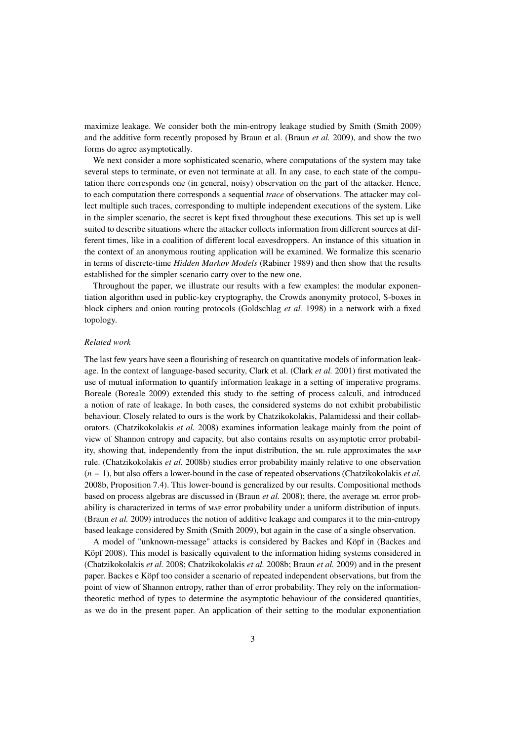maximize leakage. We consider both the min-entropy leakage studied by Smith (Smith 2009) and the additive form recently proposed by Braun et al. (Braun *et al.* 2009), and show the two forms do agree asymptotically.

We next consider a more sophisticated scenario, where computations of the system may take several steps to terminate, or even not terminate at all. In any case, to each state of the computation there corresponds one (in general, noisy) observation on the part of the attacker. Hence, to each computation there corresponds a sequential *trace* of observations. The attacker may collect multiple such traces, corresponding to multiple independent executions of the system. Like in the simpler scenario, the secret is kept fixed throughout these executions. This set up is well suited to describe situations where the attacker collects information from different sources at different times, like in a coalition of different local eavesdroppers. An instance of this situation in the context of an anonymous routing application will be examined. We formalize this scenario in terms of discrete-time *Hidden Markov Models* (Rabiner 1989) and then show that the results established for the simpler scenario carry over to the new one.

Throughout the paper, we illustrate our results with a few examples: the modular exponentiation algorithm used in public-key cryptography, the Crowds anonymity protocol, S-boxes in block ciphers and onion routing protocols (Goldschlag *et al.* 1998) in a network with a fixed topology.

#### *Related work*

The last few years have seen a flourishing of research on quantitative models of information leakage. In the context of language-based security, Clark et al. (Clark *et al.* 2001) first motivated the use of mutual information to quantify information leakage in a setting of imperative programs. Boreale (Boreale 2009) extended this study to the setting of process calculi, and introduced a notion of rate of leakage. In both cases, the considered systems do not exhibit probabilistic behaviour. Closely related to ours is the work by Chatzikokolakis, Palamidessi and their collaborators. (Chatzikokolakis *et al.* 2008) examines information leakage mainly from the point of view of Shannon entropy and capacity, but also contains results on asymptotic error probability, showing that, independently from the input distribution, the ML rule approximates the MAP rule. (Chatzikokolakis *et al.* 2008b) studies error probability mainly relative to one observation (*n* = 1), but also offers a lower-bound in the case of repeated observations (Chatzikokolakis *et al.* 2008b, Proposition 7.4). This lower-bound is generalized by our results. Compositional methods based on process algebras are discussed in (Braun *et al.* 2008); there, the average ml error probability is characterized in terms of map error probability under a uniform distribution of inputs. (Braun *et al.* 2009) introduces the notion of additive leakage and compares it to the min-entropy based leakage considered by Smith (Smith 2009), but again in the case of a single observation.

A model of "unknown-message" attacks is considered by Backes and Köpf in (Backes and Köpf 2008). This model is basically equivalent to the information hiding systems considered in (Chatzikokolakis *et al.* 2008; Chatzikokolakis *et al.* 2008b; Braun *et al.* 2009) and in the present paper. Backes e Köpf too consider a scenario of repeated independent observations, but from the point of view of Shannon entropy, rather than of error probability. They rely on the informationtheoretic method of types to determine the asymptotic behaviour of the considered quantities, as we do in the present paper. An application of their setting to the modular exponentiation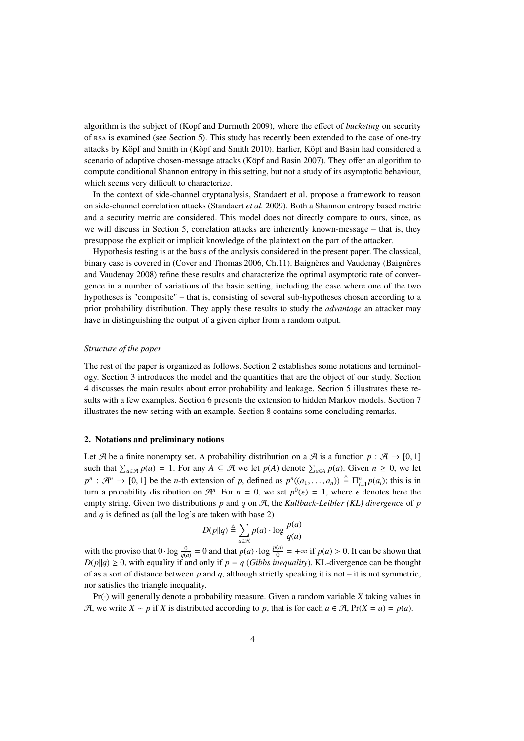algorithm is the subject of (Köpf and Dürmuth 2009), where the effect of *bucketing* on security of rsa is examined (see Section 5). This study has recently been extended to the case of one-try attacks by Köpf and Smith in (Köpf and Smith 2010). Earlier, Köpf and Basin had considered a scenario of adaptive chosen-message attacks (Köpf and Basin 2007). They offer an algorithm to compute conditional Shannon entropy in this setting, but not a study of its asymptotic behaviour, which seems very difficult to characterize.

In the context of side-channel cryptanalysis, Standaert et al. propose a framework to reason on side-channel correlation attacks (Standaert *et al.* 2009). Both a Shannon entropy based metric and a security metric are considered. This model does not directly compare to ours, since, as we will discuss in Section 5, correlation attacks are inherently known-message – that is, they presuppose the explicit or implicit knowledge of the plaintext on the part of the attacker.

Hypothesis testing is at the basis of the analysis considered in the present paper. The classical, binary case is covered in (Cover and Thomas 2006, Ch.11). Baignères and Vaudenay (Baignères and Vaudenay 2008) refine these results and characterize the optimal asymptotic rate of convergence in a number of variations of the basic setting, including the case where one of the two hypotheses is "composite" – that is, consisting of several sub-hypotheses chosen according to a prior probability distribution. They apply these results to study the *advantage* an attacker may have in distinguishing the output of a given cipher from a random output.

#### *Structure of the paper*

The rest of the paper is organized as follows. Section 2 establishes some notations and terminology. Section 3 introduces the model and the quantities that are the object of our study. Section 4 discusses the main results about error probability and leakage. Section 5 illustrates these results with a few examples. Section 6 presents the extension to hidden Markov models. Section 7 illustrates the new setting with an example. Section 8 contains some concluding remarks.

#### 2. Notations and preliminary notions

Let A be a finite nonempty set. A probability distribution on a A is a function  $p : \mathcal{A} \to [0,1]$ such that  $\sum_{a \in \mathcal{A}} p(a) = 1$ . For any  $A \subseteq \mathcal{A}$  we let  $p(A)$  denote  $\sum_{a \in A} p(a)$ . Given  $n \ge 0$ , we let  $p^n$ :  $\mathcal{A}^n \to [0, 1]$  be the *n*-th extension of *p*, defined as  $p^n((a_1, \ldots, a_n)) \triangleq \prod_{i=1}^n p(a_i)$ ; this is in turn a probability distribution on  $\mathcal{A}^n$ . For  $n = 0$ , we set  $p^0(\epsilon) = 1$ , where  $\epsilon$  denotes here the empty string. Given two distributions *p* and *q* on A, the *Kullback-Leibler (KL) divergence* of *p* and *q* is defined as (all the log's are taken with base 2)

$$
D(p||q) \stackrel{\Delta}{=} \sum_{a \in \mathcal{A}} p(a) \cdot \log \frac{p(a)}{q(a)}
$$

with the proviso that  $0 \cdot \log \frac{\theta}{q} = 0$  and that  $p(a) \cdot \log \frac{p(a)}{q} = +\infty$  if  $p(a) > 0$ . It can be shown that  $D(p||q) \ge 0$ , with equality if and only if  $p = q$  (*Gibbs inequality*). KL-divergence can be thought of as a sort of distance between *p* and *q*, although strictly speaking it is not – it is not symmetric, nor satisfies the triangle inequality.

Pr(·) will generally denote a probability measure. Given a random variable *X* taking values in *A*, we write *X* ∼ *p* if *X* is distributed according to *p*, that is for each  $a \in \mathcal{A}$ , Pr(*X* = *a*) = *p*(*a*).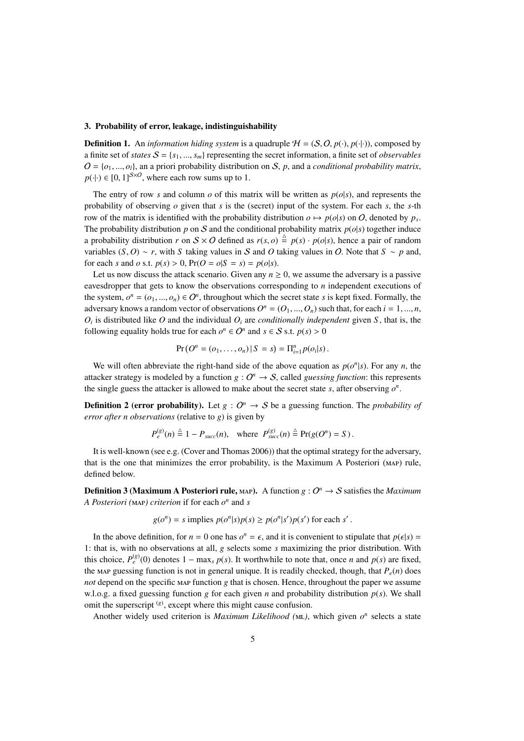#### 3. Probability of error, leakage, indistinguishability

**Definition 1.** An *information hiding system* is a quadruple  $H = (S, O, p(\cdot), p(\cdot|\cdot))$ , composed by a finite set of *states*  $S = \{s_1, ..., s_m\}$  representing the secret information, a finite set of *observables*  $O = \{o_1, ..., o_l\}$ , an a priori probability distribution on S, p, and a *conditional probability matrix*,  $p(\cdot|\cdot) \in [0, 1]^{S \times O}$ , where each row sums up to 1.

The entry of row *s* and column *o* of this matrix will be written as  $p(o|s)$ , and represents the probability of observing  $o$  given that  $s$  is the (secret) input of the system. For each  $s$ , the  $s$ -th row of the matrix is identified with the probability distribution  $o \mapsto p(o|s)$  on O, denoted by  $p_s$ . The probability distribution *p* on *S* and the conditional probability matrix  $p(o|s)$  together induce a probability distribution *r* on  $S \times O$  defined as  $r(s, o) \stackrel{\triangle}{=} p(s) \cdot p(o|s)$ , hence a pair of random variables  $(S, O) \times r$  with *S* taking values in *S* and *O* taking values in *O*. Note that *S*  $\times$  *n* and variables (*S*, *O*) ∼ *r*, with *S* taking values in *S* and *O* taking values in *O*. Note that *S* ∼ *p* and, for each *s* and *o* s.t.  $p(s) > 0$ ,  $Pr(O = o|S = s) = p(o|s)$ .

Let us now discuss the attack scenario. Given any  $n \geq 0$ , we assume the adversary is a passive eavesdropper that gets to know the observations corresponding to *n* independent executions of the system,  $o^n = (o_1, ..., o_n) \in O^n$ , throughout which the secret state *s* is kept fixed. Formally, the adverse v knows a random vector of observations  $O^n = (O_1, ..., O_n)$  such that for each  $i = 1, ..., n$ adversary knows a random vector of observations  $O^n = (O_1, ..., O_n)$  such that, for each  $i = 1, ..., n$ ,<br>*O* is distributed like *O* and the individual *O* are conditionally independent given *S*, that is the  $O_i$  is distributed like  $O$  and the individual  $O_i$  are *conditionally independent* given  $S$ , that is, the following equality holds true for each  $o^n \in O^n$  and  $s \in S$  s.t.  $p(s) > 0$ 

$$
\Pr\big(O^n = (o_1, \ldots, o_n) | S = s\big) = \prod_{i=1}^n p(o_i | s).
$$

We will often abbreviate the right-hand side of the above equation as  $p(o^n|s)$ . For any *n*, the attacker strategy is modeled by a function  $g: O<sup>n</sup> \to S$ , called *guessing function*: this represents the single guess the attacker is allowed to make about the secret state  $s$ , after observing  $o<sup>n</sup>$ .

**Definition 2 (error probability).** Let  $g: O^n \to S$  be a guessing function. The *probability of error after n observations* (relative to *g*) is given by

$$
P_e^{(g)}(n) \stackrel{\triangle}{=} 1 - P_{succ}(n), \text{ where } P_{succ}^{(g)}(n) \stackrel{\triangle}{=} \Pr(g(O^n) = S).
$$

It is well-known (see e.g. (Cover and Thomas 2006)) that the optimal strategy for the adversary, that is the one that minimizes the error probability, is the Maximum A Posteriori (map) rule, defined below.

**Definition 3 (Maximum A Posteriori rule,** MAP). A function  $g: O^n \to S$  satisfies the *Maximum A Posteriori (*map*) criterion* if for each *o n* and *s*

$$
g(o^n) = s \text{ implies } p(o^n|s)p(s) \ge p(o^n|s')p(s') \text{ for each } s'.
$$

In the above definition, for  $n = 0$  one has  $o^n = \epsilon$ , and it is convenient to stipulate that  $p(\epsilon | s) =$ <br>that is, with no observations at all, a solarize come a maximizing the prior distribution. With 1: that is, with no observations at all, *g* selects some *s* maximizing the prior distribution. With this choice,  $P_e^{(g)}(0)$  denotes  $1 - \max_s p(s)$ . It worthwhile to note that, once *n* and  $p(s)$  are fixed, the map guessing function is not in general unique. It is readily checked, though, that  $P_e(n)$  does *not* depend on the specific map function *g* that is chosen. Hence, throughout the paper we assume w.l.o.g. a fixed guessing function  $g$  for each given  $n$  and probability distribution  $p(s)$ . We shall omit the superscript <sup>(g)</sup>, except where this might cause confusion.

Another widely used criterion is *Maximum Likelihood* (ML), which given  $o^n$  selects a state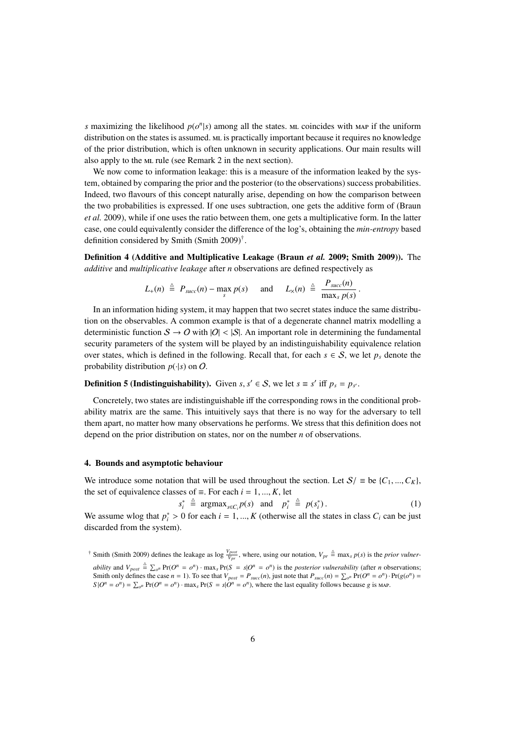*s* maximizing the likelihood  $p(o^n|s)$  among all the states. ML coincides with MAP if the uniform distribution on the states is assumed. Mu is practically important because it requires no knowledge of the prior distribution, which is often unknown in security applications. Our main results will also apply to the ml rule (see Remark 2 in the next section).

We now come to information leakage: this is a measure of the information leaked by the system, obtained by comparing the prior and the posterior (to the observations) success probabilities. Indeed, two flavours of this concept naturally arise, depending on how the comparison between the two probabilities is expressed. If one uses subtraction, one gets the additive form of (Braun *et al.* 2009), while if one uses the ratio between them, one gets a multiplicative form. In the latter case, one could equivalently consider the difference of the log's, obtaining the *min-entropy* based definition considered by Smith (Smith 2009)† .

Definition 4 (Additive and Multiplicative Leakage (Braun *et al.* 2009; Smith 2009)). The *additive* and *multiplicative leakage* after *n* observations are defined respectively as

$$
L_{+}(n) \triangleq P_{succ}(n) - \max_{s} p(s) \quad \text{and} \quad L_{\times}(n) \triangleq \frac{P_{succ}(n)}{\max_{s} p(s)}
$$

In an information hiding system, it may happen that two secret states induce the same distribution on the observables. A common example is that of a degenerate channel matrix modelling a deterministic function  $S \to O$  with  $|O| < |S|$ . An important role in determining the fundamental security parameters of the system will be played by an indistinguishability equivalence relation over states, which is defined in the following. Recall that, for each  $s \in S$ , we let  $p_s$  denote the probability distribution  $p(\cdot|s)$  on O.

# **Definition 5 (Indistinguishability).** Given *s*,  $s' \in S$ , we let  $s \equiv s'$  iff  $p_s = p_{s'}$ .

Concretely, two states are indistinguishable iff the corresponding rows in the conditional probability matrix are the same. This intuitively says that there is no way for the adversary to tell them apart, no matter how many observations he performs. We stress that this definition does not depend on the prior distribution on states, nor on the number *n* of observations.

#### 4. Bounds and asymptotic behaviour

We introduce some notation that will be used throughout the section. Let  $S/\equiv$  be  $\{C_1, ..., C_K\}$ , the set of equivalence classes of  $\equiv$ . For each  $i = 1, ..., K$ , let

$$
s_i^* \triangleq \operatorname{argmax}_{s \in C_i} p(s) \quad \text{and} \quad p_i^* \triangleq p(s_i^*). \tag{1}
$$

 $s_i^* \triangleq \argmax_{s \in C_i} p(s)$  and  $p_i^* \triangleq p(s_i^*)$ . (1)<br>We assume wlog that  $p_i^* > 0$  for each  $i = 1, ..., K$  (otherwise all the states in class  $C_i$  can be just<br>discarded from the sustam) discarded from the system).

<sup>&</sup>lt;sup>†</sup> Smith (Smith 2009) defines the leakage as  $\log \frac{V_{post}}{V_{pr}}$ , where, using our notation,  $V_{pr} \triangleq \max_s p(s)$  is the *prior vulnerability* and  $V_{post} \triangleq \sum_{o^n} Pr(O^n = o^n) \cdot max_s Pr(S = s | O^n = o^n)$  is the *posterior vulnerability* (after *n* observations; Smith only defines the case  $n = 1$ ). To see that  $V_{post} = P_{succ}(n)$ , just note that  $P_{succ}(n) = \sum_{o'} Pr(O^n = o^n) \cdot Pr(g(o^n) = o^n)$  $S|O^n = o^n$ ) =  $\sum_{o^n} \Pr(O^n = o^n) \cdot \max_s \Pr(S = s|O^n = o^n)$ , where the last equality follows because g is map.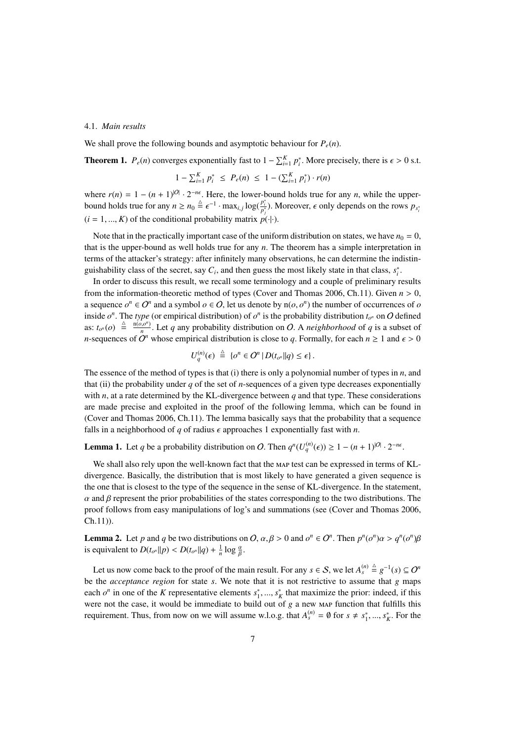#### 4.1. *Main results*

We shall prove the following bounds and asymptotic behaviour for  $P_e(n)$ .

**Theorem 1.**  $P_e(n)$  converges exponentially fast to  $1 - \sum_{i=1}^{K} p_i^*$ . More precisely, there is  $\epsilon > 0$  s.t.

$$
1 - \sum_{i=1}^{K} p_i^* \le P_e(n) \le 1 - (\sum_{i=1}^{K} p_i^*) \cdot r(n)
$$

where  $r(n) = 1 - (n + 1)^{|O|} \cdot 2^{-n\epsilon}$ . Here, the lower-bound holds true for any *n*, while the upperbound holds true for any  $n \ge n_0 \stackrel{\Delta}{=} \epsilon^{-1} \cdot \max_{i,j} \log(\frac{p_i^*}{p_j^*})$ . Moreover,  $\epsilon$  only depends on the rows  $p_{s_i^*}$  $(i = 1, ..., K)$  of the conditional probability matrix  $p(\cdot|\cdot)$ .

Note that in the practically important case of the uniform distribution on states, we have  $n_0 = 0$ , that is the upper-bound as well holds true for any *n*. The theorem has a simple interpretation in terms of the attacker's strategy: after infinitely many observations, he can determine the indistinguishability class of the secret, say  $C_i$ , and then guess the most likely state in that class,  $s_i^*$ .

In order to discuss this result, we recall some terminology and a couple of preliminary results from the information-theoretic method of types (Cover and Thomas 2006, Ch.11). Given *<sup>n</sup>* > 0, a sequence  $o^n \in O^n$  and a symbol  $o \in O$ , let us denote by  $n(o, o^n)$  the number of occurrences of *o* inside  $o^n$ . The tune (or empirical distribution) of  $o^n$  is the probability distribution  $t$ , on  $O$  defined inside  $o^n$ . The *type* (or empirical distribution) of  $o^n$  is the probability distribution  $t_{o^n}$  on O defined as:  $t_{o^n}(o) \triangleq \frac{n(o,o^n)}{n}$  $\frac{a_1a_0}{n}$ . Let *q* any probability distribution on *O*. A *neighborhood* of *q* is a subset of *n*-sequences of  $O<sup>n</sup>$  whose empirical distribution is close to *q*. Formally, for each  $n \ge 1$  and  $\epsilon > 0$ 

$$
U_q^{(n)}(\epsilon) \stackrel{\triangle}{=} \{o^n \in O^n \, | \, D(t_{o^n} || q) \leq \epsilon\}.
$$

The essence of the method of types is that (i) there is only a polynomial number of types in *n*, and that (ii) the probability under  $q$  of the set of *n*-sequences of a given type decreases exponentially with  $n$ , at a rate determined by the KL-divergence between  $q$  and that type. These considerations are made precise and exploited in the proof of the following lemma, which can be found in (Cover and Thomas 2006, Ch.11). The lemma basically says that the probability that a sequence falls in a neighborhood of  $q$  of radius  $\epsilon$  approaches 1 exponentially fast with  $n$ .

**Lemma 1.** Let *q* be a probability distribution on *O*. Then  $q^n(U_q^{(n)}(\epsilon)) \ge 1 - (n+1)^{|O|} \cdot 2^{-n\epsilon}$ .

We shall also rely upon the well-known fact that the map test can be expressed in terms of KLdivergence. Basically, the distribution that is most likely to have generated a given sequence is the one that is closest to the type of the sequence in the sense of KL-divergence. In the statement,  $\alpha$  and  $\beta$  represent the prior probabilities of the states corresponding to the two distributions. The proof follows from easy manipulations of log's and summations (see (Cover and Thomas 2006, Ch.11)).

**Lemma 2.** Let *p* and *q* be two distributions on O,  $\alpha$ ,  $\beta > 0$  and  $o^n \in O^n$ . Then  $p^n(o^n)\alpha > q^n(o^n)\beta$ is equivalent to  $D(t_{o^n} || p) < D(t_{o^n} || q) + \frac{1}{n} \log \frac{\alpha}{\beta}$ .

Let us now come back to the proof of the main result. For any  $s \in S$ , we let  $A_s^{(n)}$  $\stackrel{\triangle}{=} g^{-1}(s) \subseteq O^n$ be the *acceptance region* for state *s*. We note that it is not restrictive to assume that *g* maps each  $o^n$  in one of the *K* representative elements  $s_1^*, \ldots, s_K^*$  that maximize the prior: indeed, if this were not the case, it would be immediate to build out of a a new MA function that fulfills this were not the case, it would be immediate to build out of *g* a new map function that fulfills this requirement. Thus, from now on we will assume w.l.o.g. that  $A_s^{(n)} = \emptyset$  for  $s \neq s_1^*, ..., s_K^*$ . For the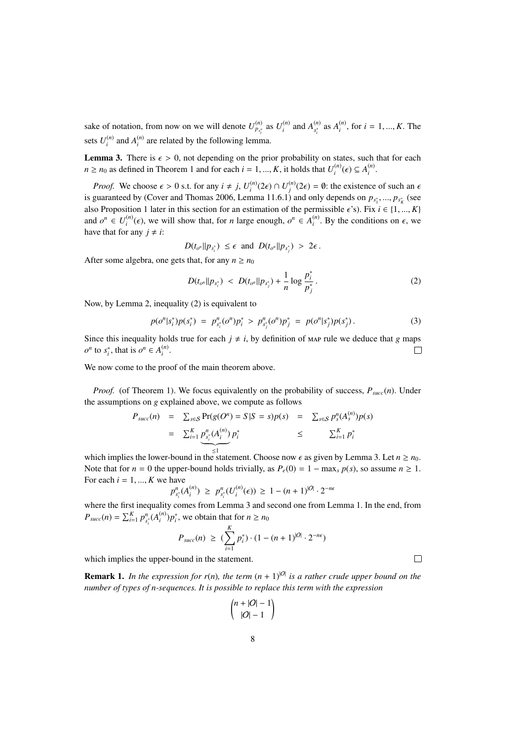sake of notation, from now on we will denote  $U_{p_{s_i^*}}^{(n)}$  as  $U_i^{(n)}$  and  $A_{s_i^*}^{(n)}$  $A_i^{(n)}$  as  $A_i^{(n)}$ , for  $i = 1, ..., K$ . The sets  $U_i^{(n)}$  and  $A_i^{(n)}$  are related by the following lemma.

**Lemma 3.** There is  $\epsilon > 0$ , not depending on the prior probability on states, such that for each  $n \ge n_0$  as defined in Theorem 1 and for each  $i = 1, ..., K$ , it holds that  $U_i^{(n)}(\epsilon) \subseteq A_i^{(n)}$ .

*Proof.* We choose  $\epsilon > 0$  s.t. for any  $i \neq j$ ,  $U_i^{(n)}(2\epsilon) \cap U_j^{(n)}(2\epsilon) = \emptyset$ : the existence of such an  $\epsilon$ is guaranteed by (Cover and Thomas 2006, Lemma 11.6.1) and only depends on  $p_{s_1^*}, ..., p_{s_K^*}$  (see<br>also Proposition 1 later in this section for an estimation of the permissible  $\epsilon(s)$ . Fix  $i \in [1, \infty)$ also Proposition 1 later in this section for an estimation of the permissible  $\epsilon$ 's). Fix  $i \in \{1, ..., K\}$ <br>and  $\epsilon^n \in L^{(n)}(\epsilon)$ , we will show that for a large apough  $\epsilon^n \in A^{(n)}$ . By the conditions on  $\epsilon$ , we and  $o^n \in U_i^{(n)}(\epsilon)$ , we will show that, for *n* large enough,  $o^n \in A_i^{(n)}$ . By the conditions on  $\epsilon$ , we have that for any  $i \neq i$ . have that for any  $j \neq i$ :

$$
D(t_{o^n}||p_{s_i^*}) \leq \epsilon \text{ and } D(t_{o^n}||p_{s_j^*}) > 2\epsilon.
$$

After some algebra, one gets that, for any  $n \ge n_0$ 

$$
D(t_{o^n}||p_{s_i^*}) \ < \ D(t_{o^n}||p_{s_j^*}) + \frac{1}{n}\log\frac{p_i^*}{p_j^*} \,. \tag{2}
$$

Now, by Lemma 2, inequality (2) is equivalent to

$$
p(o^n|s_i^*)p(s_i^*) = p_{s_i^*}^n(o^n)p_i^* > p_{s_j^*}^n(o^n)p_j^* = p(o^n|s_j^*)p(s_j^*).
$$
\n(3)

Since this inequality holds true for each  $j \neq i$ , by definition of map rule we deduce that *g* maps  $o^n$  to  $s_i^*$ , that is  $o^n \in A_i^{(n)}$ .  $\Box$ 

We now come to the proof of the main theorem above.

*Proof.* (of Theorem 1). We focus equivalently on the probability of success,  $P_{succ}(n)$ . Under the assumptions on *g* explained above, we compute as follows

$$
P_{succ}(n) = \sum_{s \in S} Pr(g(O^n) = S | S = s) p(s) = \sum_{s \in S} p_s^n(A_s^{(n)}) p(s)
$$
  
=  $\sum_{i=1}^K \underbrace{p_{s_i^*}^n(A_i^{(n)})}_{i} p_i^* \le \sum_{i=1}^K p_i^*$ 

which implies the lower-bound in the statement. Choose now  $\epsilon$  as given by Lemma 3. Let  $n \ge n_0$ .<br>Note that for  $n = 0$  the upper bound holds trivially, as  $P_n(0) = 1$ , may  $p(s)$  so assume  $n > 1$ . Note that for  $n = 0$  the upper-bound holds trivially, as  $P_e(0) = 1 - \max_e p(s)$ , so assume  $n \ge 1$ . For each  $i = 1, ..., K$  we have

$$
p_{s_i^*}^n(A_i^{(n)}) \ge p_{s_i^*}^n(U_i^{(n)}(\epsilon)) \ge 1 - (n+1)^{|O|} \cdot 2^{-n\epsilon}
$$

where the first inequality comes from Lemma 3 and second one from Lemma 1. In the end, from  $P_{succ}(n) = \sum_{i=1}^{K} p_{s_i^*}^n (A_i^{(n)}) p_i^*$ , we obtain that for  $n \ge n_0$ 

$$
P_{succ}(n) \geq (\sum_{i=1}^{K} p_i^*) \cdot (1 - (n+1)^{|O|} \cdot 2^{-n\epsilon})
$$

which implies the upper-bound in the statement.

**Remark 1.** In the expression for  $r(n)$ , the term  $(n + 1)^{|O|}$  is a rather crude upper bound on the *number of types of n-sequences. It is possible to replace this term with the expression*

$$
\binom{n+|O|-1}{|O|-1}
$$

 $\Box$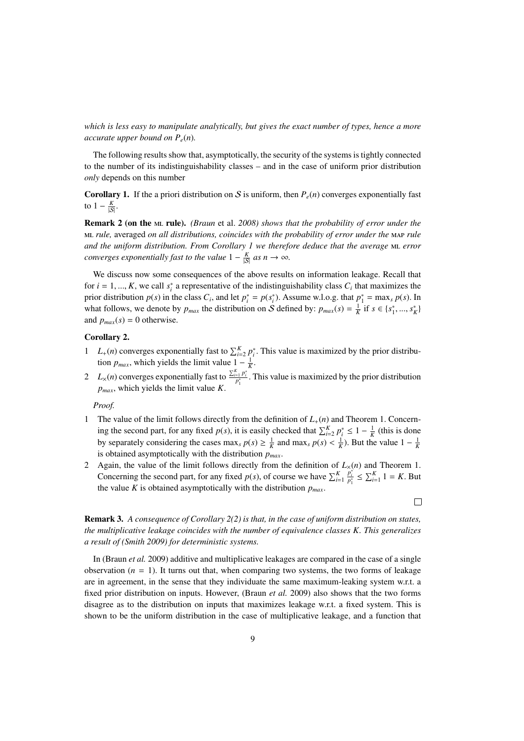*which is less easy to manipulate analytically, but gives the exact number of types, hence a more accurate upper bound on*  $P_e(n)$ *.* 

The following results show that, asymptotically, the security of the systems is tightly connected to the number of its indistinguishability classes – and in the case of uniform prior distribution *only* depends on this number

**Corollary 1.** If the a priori distribution on S is uniform, then  $P_e(n)$  converges exponentially fast to  $1 - \frac{K}{|S|}$ .

Remark 2 (on the ml rule). *(Braun* et al. *2008) shows that the probability of error under the* ml *rule,* averaged *on all distributions, coincides with the probability of error under the* map *rule and the uniform distribution. From Corollary 1 we therefore deduce that the average* ml *error converges exponentially fast to the value*  $1 - \frac{K}{|S|}$  *as*  $n \to \infty$ *.* 

We discuss now some consequences of the above results on information leakage. Recall that for  $i = 1, ..., K$ , we call  $s_i^*$  a representative of the indistinguishability class  $C_i$  that maximizes the prior distribution  $p(s)$  in the class  $C_i$  and let  $r^* = p(s^*)$ . Assume  $w \log a$  that  $r^* = \max_{i} p(s)$  In prior distribution  $p(s)$  in the class  $C_i$ , and let  $p_i^* = p(s_i^*)$ . Assume w.l.o.g. that  $p_1^* = \max_s p(s)$ . In what follows, we denote by  $p_{max}$  the distribution on S defined by:  $p_{max}(s) = \frac{1}{K}$  if  $s \in \{s_1^*, ..., s_K^*\}$ and  $p_{max}(s) = 0$  otherwise.

# Corollary 2.

- 1 *L*<sub>+</sub>(*n*) converges exponentially fast to  $\sum_{i=2}^{K} p_i^*$ . This value is maximized by the prior distribution  $p_{max}$ , which yields the limit value  $1 - \frac{1}{K}$ .
- 2 *L*<sub>×</sub>(*n*) converges exponentially fast to  $\frac{\sum_{i=1}^{K} p_i^*}{p_1^*}$ . This value is maximized by the prior distribution *pmax*, which yields the limit value *K*.

#### *Proof.*

- 1 The value of the limit follows directly from the definition of *L*+(*n*) and Theorem 1. Concerning the second part, for any fixed *p*(*s*), it is easily checked that  $\sum_{i=2}^{K} p_i^* \leq 1 - \frac{1}{K}$  (this is done by separately considering the cases  $\max_{s} p(s) \geq \frac{1}{k}$  and  $\max_{s} p(s) < \frac{1}{k}$ ). But the value  $1 - \frac{1}{k}$ is obtained asymptotically with the distribution *pmax*.
- 2 Again, the value of the limit follows directly from the definition of  $L_{\times}(n)$  and Theorem 1. Concerning the second part, for any fixed  $p(s)$ , of course we have  $\sum_{i=1}^{K}$  $\frac{p_i^*}{p_1^*} \le \sum_{i=1}^K 1 = K$ . But the value *K* is obtained asymptotically with the distribution  $p_{max}$ .

 $\Box$ 

Remark 3. *A consequence of Corollary 2(2) is that, in the case of uniform distribution on states, the multiplicative leakage coincides with the number of equivalence classes K. This generalizes a result of (Smith 2009) for deterministic systems.*

In (Braun *et al.* 2009) additive and multiplicative leakages are compared in the case of a single observation  $(n = 1)$ . It turns out that, when comparing two systems, the two forms of leakage are in agreement, in the sense that they individuate the same maximum-leaking system w.r.t. a fixed prior distribution on inputs. However, (Braun *et al.* 2009) also shows that the two forms disagree as to the distribution on inputs that maximizes leakage w.r.t. a fixed system. This is shown to be the uniform distribution in the case of multiplicative leakage, and a function that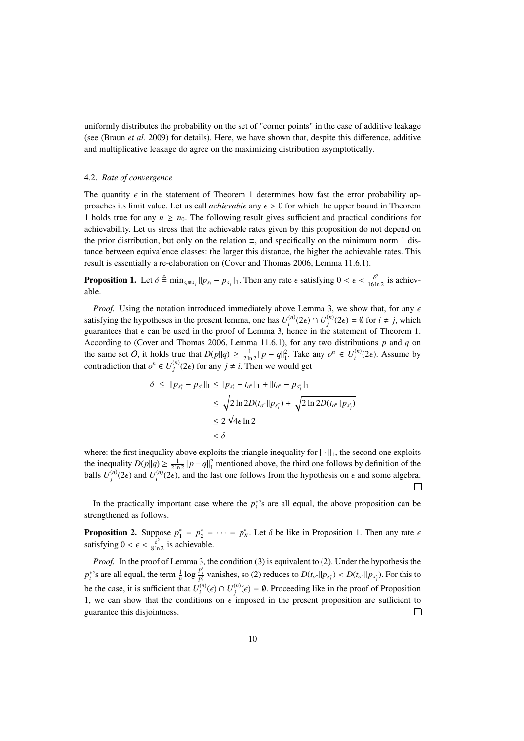uniformly distributes the probability on the set of "corner points" in the case of additive leakage (see (Braun *et al.* 2009) for details). Here, we have shown that, despite this difference, additive and multiplicative leakage do agree on the maximizing distribution asymptotically.

#### 4.2. *Rate of convergence*

The quantity  $\epsilon$  in the statement of Theorem 1 determines how fast the error probability approaches its limit value. Let us call *achievable* any  $\epsilon > 0$  for which the upper bound in Theorem 1 holds true for any  $n \geq n_0$ . The following result gives sufficient and practical conditions for achievability. Let us stress that the achievable rates given by this proposition do not depend on the prior distribution, but only on the relation ≡, and specifically on the minimum norm 1 distance between equivalence classes: the larger this distance, the higher the achievable rates. This result is essentially a re-elaboration on (Cover and Thomas 2006, Lemma 11.6.1).

**Proposition 1.** Let  $\delta \stackrel{\Delta}{=} \min_{s_i \neq s_j} ||p_{s_i} - p_{s_j}||_1$ . Then any rate  $\epsilon$  satisfying  $0 < \epsilon < \frac{\delta^2}{16 \ln 2}$  is achievable.

*Proof.* Using the notation introduced immediately above Lemma 3, we show that, for any  $\epsilon$ satisfying the hypotheses in the present lemma, one has  $U_i^{(n)}(2\epsilon) \cap U_j^{(n)}(2\epsilon) = \emptyset$  for  $i \neq j$ , which guarantees that  $\epsilon$  can be used in the proof of I emma, 3 hence in the atatement of Theorem 1 guarantees that  $\epsilon$  can be used in the proof of Lemma 3, hence in the statement of Theorem 1. According to (Cover and Thomas 2006, Lemma 11.6.1), for any two distributions *p* and *q* on the same set *O*, it holds true that  $D(p||q) \ge \frac{1}{2\ln 2} ||p - q||_1^2$ . Take any  $o^n \in U_i^{(n)}(2\epsilon)$ . Assume by contradiction that  $o^n \in U_j^{(n)}(2\epsilon)$  for any  $j \ne i$ . Then we would get

$$
\delta \leq ||p_{s_i^*} - p_{s_j^*}||_1 \leq ||p_{s_i^*} - t_{o^n}||_1 + ||t_{o^n} - p_{s_j^*}||_1
$$
  
\n
$$
\leq \sqrt{2 \ln 2D(t_{o^n}||p_{s_i^*})} + \sqrt{2 \ln 2D(t_{o^n}||p_{s_j^*})}
$$
  
\n
$$
\leq 2 \sqrt{4\epsilon \ln 2}
$$
  
\n
$$
< \delta
$$

where: the first inequality above exploits the triangle inequality for  $|| \cdot ||_1$ , the second one exploits the inequality  $D(p||q) \ge \frac{1}{2 \ln 2} ||p - q||_1^2$  mentioned above, the third one follows by definition of the balls  $U_j^{(n)}(2\epsilon)$  and  $U_i^{(n)}(2\epsilon)$ , and the last one follows from the hypothesis on  $\epsilon$  and some algebra.

In the practically important case where the  $p_i^*$ 's are all equal, the above proposition can be strengthened as follows.

**Proposition 2.** Suppose  $p_1^* = p_2^* = \cdots = p_K^*$ . Let  $\delta$  be like in Proposition 1. Then any rate  $\epsilon$ satisfying  $0 < \epsilon < \frac{\delta^2}{8 \ln 2}$  is achievable.

*Proof.* In the proof of Lemma 3, the condition (3) is equivalent to (2). Under the hypothesis the  $p_i^*$ 's are all equal, the term  $\frac{1}{n} \log \frac{p_j^*}{p_i^*}$  vanishes, so (2) reduces to  $D(t_{o^n} || p_{s_i^*}) < D(t_{o^n} || p_{s_j^*})$ . For this to be the case, it is sufficient that  $U_i^{(n)}(\epsilon) \cap U_j^{(n)}(\epsilon) = \emptyset$ . Proceeding like in the proof of Proposition<br>1. We can show that the conditions on  $\epsilon$  imposed in the present proposition are sufficient to 1, we can show that the conditions on  $\epsilon$  imposed in the present proposition are sufficient to guarantee this disjointness. guarantee this disjointness.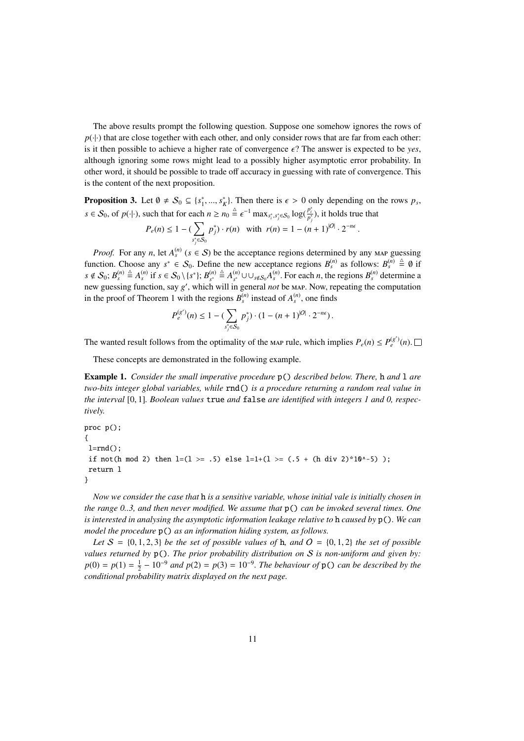The above results prompt the following question. Suppose one somehow ignores the rows of  $p(\cdot|\cdot)$  that are close together with each other, and only consider rows that are far from each other: is it then possible to achieve a higher rate of convergence  $\epsilon$ ? The answer is expected to be *yes*, although ignoring some rows might lead to a possibly higher asymptotic error probability. In other word, it should be possible to trade off accuracy in guessing with rate of convergence. This is the content of the next proposition.

**Proposition 3.** Let  $\emptyset \neq S_0 \subseteq \{s_1^*, ..., s_K^*\}$ . Then there is  $\epsilon > 0$  only depending on the rows  $p_s$ , *s* ∈  $S_0$ , of  $p(\cdot|\cdot)$ , such that for each  $n \ge n_0 \stackrel{\triangle}{=} \epsilon^{-1} \max_{s_i^*, s_j^* \in S_0} \log(\frac{p_i^*}{p_j^*})$ , it holds true that

$$
P_e(n) \le 1 - (\sum_{s_j^* \in S_0} p_j^*) \cdot r(n)
$$
 with  $r(n) = 1 - (n+1)^{|O|} \cdot 2^{-n\epsilon}$ .

*Proof.* For any *n*, let  $A_s^{(n)}$  ( $s \in S$ ) be the acceptance regions determined by any map guessing function. Choose any  $s^* \in S_0$ . Define the new acceptance regions  $B_s^{(n)}$  as follows:  $B_s^{(n)}$  $\stackrel{\triangle}{=} \emptyset$  if  $s \notin \mathcal{S}_0$ ;  $B_s^{(n)}$  $\stackrel{\triangle}{=} A_s^{(n)}$  if  $s \in S_0 \setminus \{s^*\}; B_{s^*}^{(n)} \stackrel{\triangle}{=} A_{s^*}^{(n)} \cup \cup_{s \notin S_0} A_s^{(n)}$ . For each *n*, the regions  $B_s^{(n)}$  determine a new guessing function, say g', which will in general *not* be MAP. Now, repeating the computation in the proof of Theorem 1 with the regions  $B_s^{(n)}$  instead of  $A_s^{(n)}$ , one finds

$$
P_e^{(g')}(n) \le 1 - (\sum_{s_j^* \in S_0} p_j^*) \cdot (1 - (n+1)^{|O|} \cdot 2^{-n\epsilon}).
$$

The wanted result follows from the optimality of the map rule, which implies  $P_e(n) \leq P_e^{(g')}(n)$ .

These concepts are demonstrated in the following example.

Example 1. *Consider the small imperative procedure* p() *described below. There,* h *and* l *are two-bits integer global variables, while* rnd() *is a procedure returning a random real value in the interval* [0, 1]*. Boolean values* true *and* false *are identified with integers 1 and 0, respectively.*

```
proc p();
{
l=rnd();
 if not(h mod 2) then l=(l \ge 0.5) else l=1+(l \ge 0.5 + (h \text{ div } 2)*10^{k}-5) ):
 return l
}
```
*Now we consider the case that* h *is a sensitive variable, whose initial vale is initially chosen in the range 0..3, and then never modified. We assume that* p() *can be invoked several times. One is interested in analysing the asymptotic information leakage relative to* h *caused by* p()*. We can model the procedure* p() *as an information hiding system, as follows.*

Let  $S = \{0, 1, 2, 3\}$  *be the set of possible values of h, and*  $O = \{0, 1, 2\}$  *the set of possible values returned by* p()*. The prior probability distribution on* S *is non-uniform and given by:*  $p(0) = p(1) = \frac{1}{2} - 10^{-9}$  *and*  $p(2) = p(3) = 10^{-9}$ . The behaviour of **p**() *can be described by the conditional probability matrix displayed on the next page.*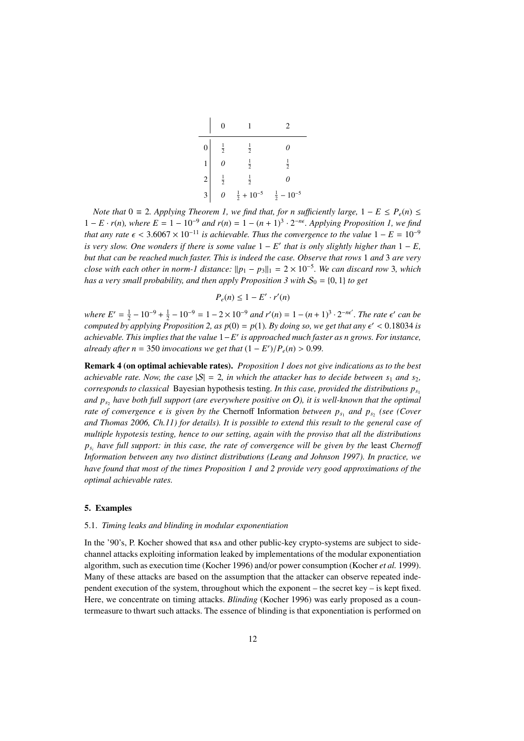|                         | $\overline{0}$ |                         | 2                       |
|-------------------------|----------------|-------------------------|-------------------------|
| 0                       | $\frac{1}{2}$  | $\frac{1}{2}$           | 0                       |
| 1                       | 0              | $\frac{1}{2}$           | $\frac{1}{2}$           |
| $\overline{\mathbf{c}}$ | $\frac{1}{2}$  | $\frac{1}{2}$           | 0                       |
| 3                       | 0              | $\frac{1}{2} + 10^{-5}$ | $\frac{1}{2} - 10^{-5}$ |

*Note that*  $0 \equiv 2$ *. Applying Theorem 1, we find that, for n sufficiently large,*  $1 - E \leq P_e(n) \leq$ 1 − *E* · *r*(*n*)*, where E* = 1 − 10<sup>-9</sup> *and r*(*n*) = 1 − (*n* + 1)<sup>3</sup> · 2<sup>-*n*ε</sup>. Applying Proposition 1, we find *that any rate*  $\epsilon$  < 3.6067 × 10<sup>-11</sup> *is achievable. Thus the convergence to the value*  $1 - E = 10^{-9}$ *is very slow. One wonders if there is some value*  $1 - E'$  *that is only slightly higher than*  $1 - E$ *, but that can be reached much faster. This is indeed the case. Observe that rows* 1 *and* 3 *are very close with each other in norm-1 distance:*  $||p_1 - p_3||_1 = 2 \times 10^{-5}$ *. We can discard row* 3*, which has a very small probability, and then apply Proposition 3 with*  $S_0 = \{0, 1\}$  *to get* 

$$
P_e(n) \le 1 - E' \cdot r'(n)
$$

*where*  $E' = \frac{1}{2} - 10^{-9} + \frac{1}{2} - 10^{-9} = 1 - 2 \times 10^{-9}$  and  $r'(n) = 1 - (n + 1)^3 \cdot 2^{-n\epsilon'}$ . The rate  $\epsilon'$  can be *computed by applying Proposition 2, as*  $p(0) = p(1)$ *. By doing so, we get that any*  $\epsilon' < 0.18034$  *is*<br>*achievable. This implies that the value 1.* E' is approached much faster as n grows. For instance *achievable. This implies that the value* 1−*E* 0 *is approached much faster as n grows. For instance, already after n* = 350 *invocations we get that*  $(1 - E')/P_e(n) > 0.99$ .

Remark 4 (on optimal achievable rates). *Proposition 1 does not give indications as to the best achievable rate. Now, the case*  $|S| = 2$ , in which the attacker has to decide between  $s_1$  and  $s_2$ , *corresponds to classical* Bayesian hypothesis testing. In this case, provided the distributions  $p_{s_1}$ *and p<sup>s</sup>*<sup>2</sup> *have both full support (are everywhere positive on* O*), it is well-known that the optimal rate of convergence*  $\epsilon$  *is given by the* Chernoff Information *between*  $p_{s_1}$  *and*  $p_{s_2}$  *(see (Cover and Thomas 2006, Ch 11) for datails), It is possible to axtend this result to the general case of and Thomas 2006, Ch.11) for details). It is possible to extend this result to the general case of multiple hypotesis testing, hence to our setting, again with the proviso that all the distributions psi have full support: in this case, the rate of convergence will be given by the* least *Cherno*ff *Information between any two distinct distributions (Leang and Johnson 1997). In practice, we have found that most of the times Proposition 1 and 2 provide very good approximations of the optimal achievable rates.*

# 5. Examples

#### 5.1. *Timing leaks and blinding in modular exponentiation*

In the '90's, P. Kocher showed that rsa and other public-key crypto-systems are subject to sidechannel attacks exploiting information leaked by implementations of the modular exponentiation algorithm, such as execution time (Kocher 1996) and/or power consumption (Kocher *et al.* 1999). Many of these attacks are based on the assumption that the attacker can observe repeated independent execution of the system, throughout which the exponent – the secret key – is kept fixed. Here, we concentrate on timing attacks. *Blinding* (Kocher 1996) was early proposed as a countermeasure to thwart such attacks. The essence of blinding is that exponentiation is performed on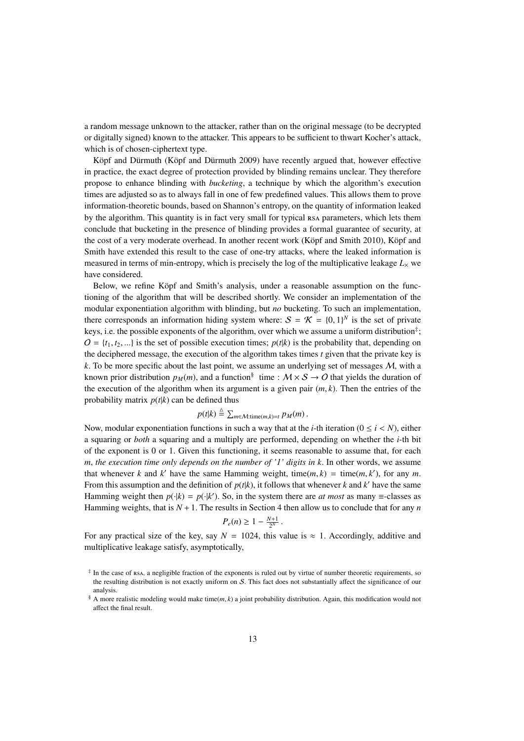a random message unknown to the attacker, rather than on the original message (to be decrypted or digitally signed) known to the attacker. This appears to be sufficient to thwart Kocher's attack, which is of chosen-ciphertext type.

Köpf and Dürmuth (Köpf and Dürmuth 2009) have recently argued that, however effective in practice, the exact degree of protection provided by blinding remains unclear. They therefore propose to enhance blinding with *bucketing*, a technique by which the algorithm's execution times are adjusted so as to always fall in one of few predefined values. This allows them to prove information-theoretic bounds, based on Shannon's entropy, on the quantity of information leaked by the algorithm. This quantity is in fact very small for typical rsa parameters, which lets them conclude that bucketing in the presence of blinding provides a formal guarantee of security, at the cost of a very moderate overhead. In another recent work (Köpf and Smith 2010), Köpf and Smith have extended this result to the case of one-try attacks, where the leaked information is measured in terms of min-entropy, which is precisely the log of the multiplicative leakage  $L_{\rm x}$  we have considered.

Below, we refine Köpf and Smith's analysis, under a reasonable assumption on the functioning of the algorithm that will be described shortly. We consider an implementation of the modular exponentiation algorithm with blinding, but *no* bucketing. To such an implementation, there corresponds an information hiding system where:  $S = \mathcal{K} = \{0, 1\}^N$  is the set of private keys i.e. the possible expanants of the algorithm over which we assume a uniform distribution.<sup>†</sup> keys, i.e. the possible exponents of the algorithm, over which we assume a uniform distribution<sup>‡</sup>;  $O = \{t_1, t_2, ...\}$  is the set of possible execution times;  $p(t|k)$  is the probability that, depending on the deciphered message, the execution of the algorithm takes times *t* given that the private key is *k*. To be more specific about the last point, we assume an underlying set of messages M, with a known prior distribution  $p_M(m)$ , and a function<sup>§</sup> time :  $M \times S \rightarrow O$  that yields the duration of the execution of the algorithm when its argument is a given pair (*m*, *<sup>k</sup>*). Then the entries of the probability matrix  $p(t|k)$  can be defined thus

# $p(t|k) \triangleq \sum_{m \in \mathcal{M}:\text{time}(m,k)=t} p_M(m)$ .

Now, modular exponentiation functions in such a way that at the *i*-th iteration ( $0 \le i \le N$ ), either a squaring or *both* a squaring and a multiply are performed, depending on whether the *i*-th bit of the exponent is 0 or 1. Given this functioning, it seems reasonable to assume that, for each *m*, *the execution time only depends on the number of '1' digits in k*. In other words, we assume that whenever *k* and *k*<sup>*'*</sup> have the same Hamming weight, time(*m*, *k*) = time(*m*, *k*<sup>*'*</sup>), for any *m*.<br>From this assumption and the definition of  $p(t|k)$ , it follows that whenever *k* and *k*<sup>*'*</sup> have the same From this assumption and the definition of  $p(t|k)$ , it follows that whenever  $k$  and  $k'$  have the same Hamming weight then  $p(\cdot|k) = p(\cdot|k')$ . So, in the system there are *at most* as many  $\equiv$ -classes as Hamming weights, that is  $N + 1$ . The results in Section 4 then allow us to conclude that for any *n* 

$$
P_e(n) \geq 1 - \frac{N+1}{2^N}.
$$

For any practical size of the key, say  $N = 1024$ , this value is  $\approx 1$ . Accordingly, additive and multiplicative leakage satisfy, asymptotically,

<sup>‡</sup> In the case of rsa, a negligible fraction of the exponents is ruled out by virtue of number theoretic requirements, so the resulting distribution is not exactly uniform on S. This fact does not substantially affect the significance of our analysis.

 $\frac{1}{2}$  A more realistic modeling would make time(*m*, *k*) a joint probability distribution. Again, this modification would not affect the final result.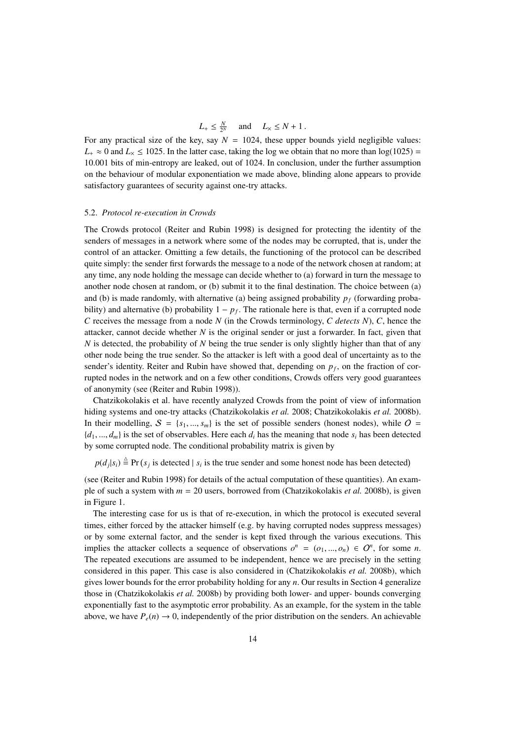$$
L_+ \leq \frac{N}{2^N} \quad \text{and} \quad L_\times \leq N+1 \, .
$$

 $L_+ \leq \frac{N}{2^N}$  and  $L_\times \leq N + 1$ .<br>For any practical size of the key, say  $N = 1024$ , these upper bounds yield negligible values:  $L_{+} \approx 0$  and  $L_{\times} \le 1025$ . In the latter case, taking the log we obtain that no more than  $log(1025)$ <sup>10</sup>.001 bits of min-entropy are leaked, out of 1024. In conclusion, under the further assumption on the behaviour of modular exponentiation we made above, blinding alone appears to provide satisfactory guarantees of security against one-try attacks.

#### 5.2. *Protocol re-execution in Crowds*

The Crowds protocol (Reiter and Rubin 1998) is designed for protecting the identity of the senders of messages in a network where some of the nodes may be corrupted, that is, under the control of an attacker. Omitting a few details, the functioning of the protocol can be described quite simply: the sender first forwards the message to a node of the network chosen at random; at any time, any node holding the message can decide whether to (a) forward in turn the message to another node chosen at random, or (b) submit it to the final destination. The choice between (a) and (b) is made randomly, with alternative (a) being assigned probability  $p_f$  (forwarding probability) and alternative (b) probability  $1 - p_f$ . The rationale here is that, even if a corrupted node *C* receives the message from a node *N* (in the Crowds terminology, *C detects N*), *C*, hence the attacker, cannot decide whether *N* is the original sender or just a forwarder. In fact, given that *N* is detected, the probability of *N* being the true sender is only slightly higher than that of any other node being the true sender. So the attacker is left with a good deal of uncertainty as to the sender's identity. Reiter and Rubin have showed that, depending on  $p_f$ , on the fraction of corrupted nodes in the network and on a few other conditions, Crowds offers very good guarantees of anonymity (see (Reiter and Rubin 1998)).

Chatzikokolakis et al. have recently analyzed Crowds from the point of view of information hiding systems and one-try attacks (Chatzikokolakis *et al.* 2008; Chatzikokolakis *et al.* 2008b). In their modelling,  $S = \{s_1, ..., s_m\}$  is the set of possible senders (honest nodes), while O =  ${d_1, ..., d_m}$  is the set of observables. Here each  $d_i$  has the meaning that node  $s_i$  has been detected by some corrupted node. The conditional probability matrix is given by

 $p(d_j|s_i) \triangleq Pr(s_j)$  is detected |  $s_i$  is the true sender and some honest node has been detected)

(see (Reiter and Rubin 1998) for details of the actual computation of these quantities). An example of such a system with *m* = 20 users, borrowed from (Chatzikokolakis *et al.* 2008b), is given in Figure 1.

The interesting case for us is that of re-execution, in which the protocol is executed several times, either forced by the attacker himself (e.g. by having corrupted nodes suppress messages) or by some external factor, and the sender is kept fixed through the various executions. This implies the attacker collects a sequence of observations  $o^n = (o_1, ..., o_n) \in O^n$ , for some *n*.<br>The repeated executions are assumed to be independent, hence we are precisely in the setting The repeated executions are assumed to be independent, hence we are precisely in the setting considered in this paper. This case is also considered in (Chatzikokolakis *et al.* 2008b), which gives lower bounds for the error probability holding for any *n*. Our results in Section 4 generalize those in (Chatzikokolakis *et al.* 2008b) by providing both lower- and upper- bounds converging exponentially fast to the asymptotic error probability. As an example, for the system in the table above, we have  $P_e(n) \rightarrow 0$ , independently of the prior distribution on the senders. An achievable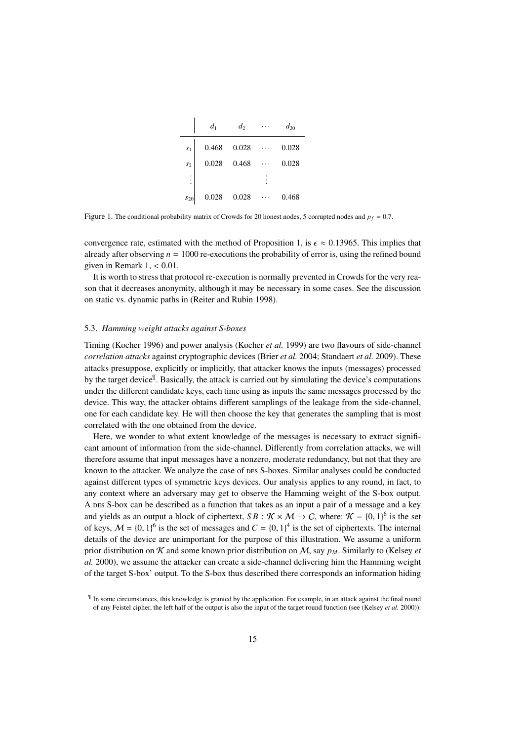

Figure 1. The conditional probability matrix of Crowds for 20 honest nodes, 5 corrupted nodes and  $p_f = 0.7$ .

convergence rate, estimated with the method of Proposition 1, is  $\epsilon \approx 0.13965$ . This implies that already after observing  $n = 1000$  re-executions the probability of error is, using the refined bound given in Remark  $1, < 0.01$ .

It is worth to stress that protocol re-execution is normally prevented in Crowds for the very reason that it decreases anonymity, although it may be necessary in some cases. See the discussion on static vs. dynamic paths in (Reiter and Rubin 1998).

#### 5.3. *Hamming weight attacks against S-boxes*

Timing (Kocher 1996) and power analysis (Kocher *et al.* 1999) are two flavours of side-channel *correlation attacks* against cryptographic devices (Brier *et al.* 2004; Standaert *et al.* 2009). These attacks presuppose, explicitly or implicitly, that attacker knows the inputs (messages) processed by the target device<sup>¶</sup>. Basically, the attack is carried out by simulating the device's computations under the different candidate keys, each time using as inputs the same messages processed by the device. This way, the attacker obtains different samplings of the leakage from the side-channel, one for each candidate key. He will then choose the key that generates the sampling that is most correlated with the one obtained from the device.

Here, we wonder to what extent knowledge of the messages is necessary to extract significant amount of information from the side-channel. Differently from correlation attacks, we will therefore assume that input messages have a nonzero, moderate redundancy, but not that they are known to the attacker. We analyze the case of pes S-boxes. Similar analyses could be conducted against different types of symmetric keys devices. Our analysis applies to any round, in fact, to any context where an adversary may get to observe the Hamming weight of the S-box output. A des S-box can be described as a function that takes as an input a pair of a message and a key and yields as an output a block of ciphertext,  $SB : \mathcal{K} \times \mathcal{M} \to C$ , where:  $\mathcal{K} = \{0, 1\}^6$  is the set of kays  $M = \{0, 1\}^6$  is the set of massages and  $C = \{0, 1\}^4$  is the set of ciphertexts. The internal of keys,  $M = \{0, 1\}^6$  is the set of messages and  $C = \{0, 1\}^4$  is the set of ciphertexts. The internal data illustration of the day is a set of contract the set of contract the set of contract of the day is a set of co details of the device are unimportant for the purpose of this illustration. We assume a uniform prior distribution on  $\mathcal K$  and some known prior distribution on  $\mathcal M$ , say  $p_M$ . Similarly to (Kelsey *et al.* 2000), we assume the attacker can create a side-channel delivering him the Hamming weight of the target S-box' output. To the S-box thus described there corresponds an information hiding

 $\P$  In some circumstances, this knowledge is granted by the application. For example, in an attack against the final round of any Feistel cipher, the left half of the output is also the input of the target round function (see (Kelsey *et al.* 2000)).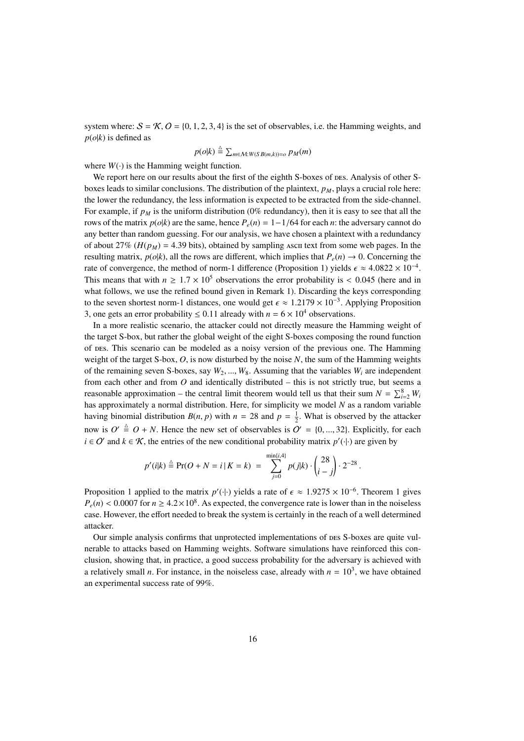system where:  $S = K$ ,  $O = \{0, 1, 2, 3, 4\}$  is the set of observables, i.e. the Hamming weights, and  $p(o|k)$  is defined as

$$
p(o|k) \triangleq \sum_{m \in \mathcal{M}: W(SB(m,k))=o} p_M(m)
$$

where  $W(\cdot)$  is the Hamming weight function.

We report here on our results about the first of the eighth S-boxes of pes. Analysis of other Sboxes leads to similar conclusions. The distribution of the plaintext, *pM*, plays a crucial role here: the lower the redundancy, the less information is expected to be extracted from the side-channel. For example, if  $p_M$  is the uniform distribution (0% redundancy), then it is easy to see that all the rows of the matrix  $p(o|k)$  are the same, hence  $P_e(n) = 1 - 1/64$  for each *n*: the adversary cannot do any better than random guessing. For our analysis, we have chosen a plaintext with a redundancy of about 27% ( $H(p_M) = 4.39$  bits), obtained by sampling ascut ext from some web pages. In the resulting matrix,  $p(o|k)$ , all the rows are different, which implies that  $P_e(n) \rightarrow 0$ . Concerning the rate of convergence, the method of norm-1 difference (Proposition 1) yields  $\epsilon \approx 4.0822 \times 10^{-4}$ .<br>This means that with  $n > 1.7 \times 10^5$  observations the error probability is  $\epsilon \approx 0.045$  (here and in This means that with  $n \ge 1.7 \times 10^5$  observations the error probability is < 0.045 (here and in what follows, we use the refined bound given in Remark 1). Discarding the keys corresponding to the seven shortest norm-1 distances, one would get  $\epsilon \approx 1.2179 \times 10^{-3}$ . Applying Proposition 3, one gets an error probability  $\epsilon > 0.11$  elizeady with  $n = 6 \times 10^4$  observations. 3, one gets an error probability  $\leq 0.11$  already with  $n = 6 \times 10^4$  observations.

In a more realistic scenario, the attacker could not directly measure the Hamming weight of the target S-box, but rather the global weight of the eight S-boxes composing the round function of des. This scenario can be modeled as a noisy version of the previous one. The Hamming weight of the target S-box, *O*, is now disturbed by the noise *N*, the sum of the Hamming weights of the remaining seven S-boxes, say  $W_2$ , ...,  $W_8$ . Assuming that the variables  $W_i$  are independent from each other and from *O* and identically distributed – this is not strictly true, but seems a reasonable approximation – the central limit theorem would tell us that their sum  $N = \sum_{i=2}^{8} W_i$ has approximately a normal distribution. Here, for simplicity we model *N* as a random variable having binomial distribution  $B(n, p)$  with  $n = 28$  and  $p = \frac{1}{2}$ . What is observed by the attacker now is  $O' \triangleq O + N$ . Hence the new set of observables is  $O' = \{0, ..., 32\}$ . Explicitly, for each  $i \in O'$  and  $k \in K$  the entries of the new conditional probability metric  $n'(k)$  are given by *i* ∈ *O*' and *k* ∈ *K*, the entries of the new conditional probability matrix  $p'(\cdot|\cdot)$  are given by

$$
p'(i|k) \stackrel{\triangle}{=} \Pr(O + N = i | K = k) = \sum_{j=0}^{\min\{i,4\}} p(j|k) \cdot {28 \choose i-j} \cdot 2^{-28}.
$$

Proposition 1 applied to the matrix  $p'(\cdot|\cdot)$  yields a rate of  $\epsilon \approx 1.9275 \times 10^{-6}$ . Theorem 1 gives  $p_{\ell}(n) \le 0.0007$  for  $n > 4.2 \times 10^8$ . As expected, the convergence rate is lower than in the poiseless  $P_e(n)$  < 0.0007 for  $n \ge 4.2 \times 10^8$ . As expected, the convergence rate is lower than in the noiseless case. However, the effort needed to break the system is certainly in the reach of a well determined attacker.

Our simple analysis confirms that unprotected implementations of des S-boxes are quite vulnerable to attacks based on Hamming weights. Software simulations have reinforced this conclusion, showing that, in practice, a good success probability for the adversary is achieved with a relatively small *n*. For instance, in the noiseless case, already with  $n = 10<sup>3</sup>$ , we have obtained an experimental success rate of 99%.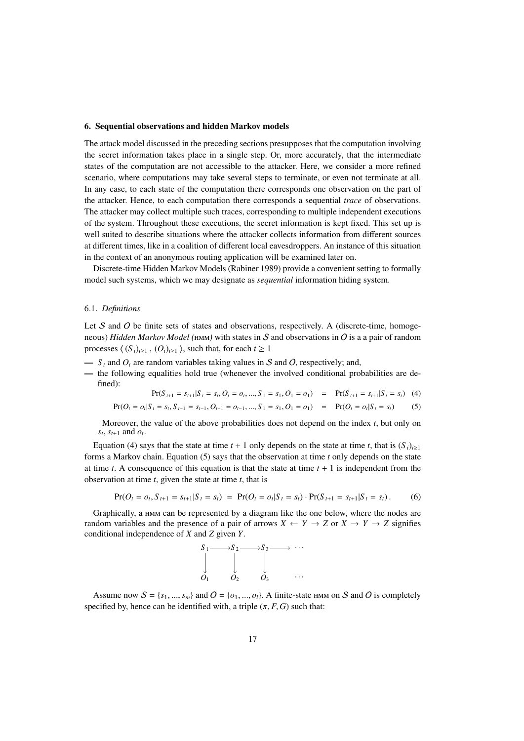#### 6. Sequential observations and hidden Markov models

The attack model discussed in the preceding sections presupposes that the computation involving the secret information takes place in a single step. Or, more accurately, that the intermediate states of the computation are not accessible to the attacker. Here, we consider a more refined scenario, where computations may take several steps to terminate, or even not terminate at all. In any case, to each state of the computation there corresponds one observation on the part of the attacker. Hence, to each computation there corresponds a sequential *trace* of observations. The attacker may collect multiple such traces, corresponding to multiple independent executions of the system. Throughout these executions, the secret information is kept fixed. This set up is well suited to describe situations where the attacker collects information from different sources at different times, like in a coalition of different local eavesdroppers. An instance of this situation in the context of an anonymous routing application will be examined later on.

Discrete-time Hidden Markov Models (Rabiner 1989) provide a convenient setting to formally model such systems, which we may designate as *sequential* information hiding system.

#### 6.1. *Definitions*

Let S and O be finite sets of states and observations, respectively. A (discrete-time, homogeneous) *Hidden Markov Model (*hmm*)* with states in S and observations in O is a a pair of random processes  $\langle (S_i)_{i \ge 1}, (O_i)_{i \ge 1} \rangle$ , such that, for each  $t \ge 1$ 

- $\frac{1}{\sqrt{2}}$  *S<sub>t</sub>* and *O<sub>t</sub>* are random variables taking values in *S* and *O*, respectively; and,
- the following equalities hold true (whenever the involved conditional probabilities are defined):

$$
\Pr(S_{t+1} = s_{t+1}|S_t = s_t, O_t = o_t, ..., S_1 = s_1, O_1 = o_1) = \Pr(S_{t+1} = s_{t+1}|S_t = s_t) \tag{4}
$$
\n
$$
\Pr(O_t = o_t|S_t = s_t, S_{t-1} = s_{t-1}, O_{t-1} = o_{t-1}, ..., S_1 = s_1, O_1 = o_1) = \Pr(O_t = o_t|S_t = s_t) \tag{5}
$$

Moreover, the value of the above probabilities does not depend on the index *t*, but only on  $s_t$ ,  $s_{t+1}$  and  $o_t$ .

Equation (4) says that the state at time  $t + 1$  only depends on the state at time *t*, that is  $(S_i)_{i \geq 1}$ forms a Markov chain. Equation (5) says that the observation at time *t* only depends on the state at time *t*. A consequence of this equation is that the state at time  $t + 1$  is independent from the observation at time *t*, given the state at time *t*, that is

$$
Pr(O_t = o_t, S_{t+1} = s_{t+1} | S_t = s_t) = Pr(O_t = o_t | S_t = s_t) \cdot Pr(S_{t+1} = s_{t+1} | S_t = s_t).
$$
 (6)

Graphically, a hmm can be represented by a diagram like the one below, where the nodes are random variables and the presence of a pair of arrows  $X \leftarrow Y \rightarrow Z$  or  $X \rightarrow Y \rightarrow Z$  signifies conditional independence of *X* and *Z* given *Y*.



Assume now  $S = \{s_1, ..., s_m\}$  and  $O = \{o_1, ..., o_l\}$ . A finite-state  $HMM$  on  $S$  and  $O$  is completely specified by, hence can be identified with, a triple  $(\pi, F, G)$  such that: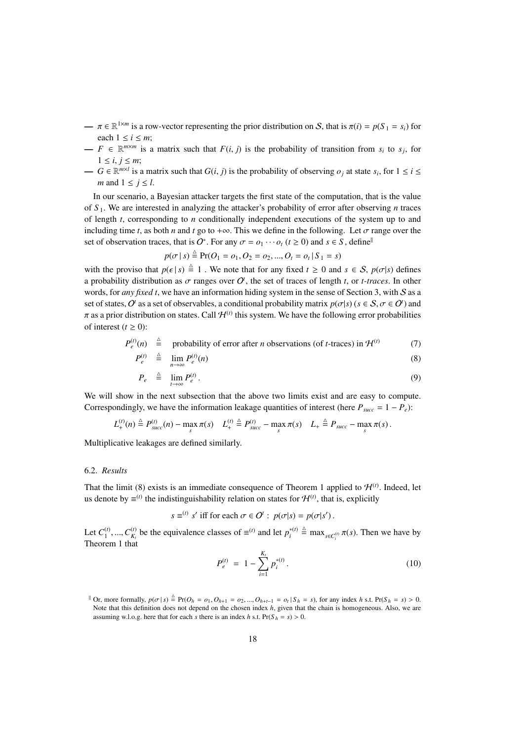- $-\pi \in \mathbb{R}^{1 \times m}$  is a row-vector representing the prior distribution on S, that is  $\pi(i) = p(S_1 = s_i)$  for each  $1 \le i \le m$ . each  $1 \le i \le m$ ;
- *→ F* ∈  $\mathbb{R}^{m \times m}$  is a matrix such that *F*(*i*, *j*) is the probability of transition from *s<sub>i</sub>* to *s<sub>j</sub>*, for  $1 \leq i, j \leq m$ ;
- *→ G* ∈  $\mathbb{R}^{m \times l}$  is a matrix such that *G*(*i*, *j*) is the probability of observing  $o_j$  at state  $s_i$ , for  $1 \le i \le m$  and  $1 \le i \le l$ *m* and  $1 \leq j \leq l$ .

In our scenario, a Bayesian attacker targets the first state of the computation, that is the value of *S* <sup>1</sup>. We are interested in analyzing the attacker's probability of error after observing *n* traces of length *t*, corresponding to *n* conditionally independent executions of the system up to and including time *t*, as both *n* and *t* go to + $\infty$ . This we define in the following. Let  $\sigma$  range over the set of observation traces, that is  $O^*$ . For any  $\sigma = o_1 \cdots o_t$  ( $t \ge 0$ ) and  $s \in S$ , define<sup>ll</sup>

$$
p(\sigma | s) \stackrel{\Delta}{=} \Pr(O_1 = o_1, O_2 = o_2, ..., O_t = o_t | S_1 = s)
$$

with the proviso that  $p(\epsilon | s) \stackrel{\Delta}{=} 1$ . We note that for any fixed  $t \ge 0$  and  $s \in S$ ,  $p(\sigma | s)$  defines a probability distribution as  $\sigma$  ranges over  $O^t$ , the set of traces of length *t*, or *t-traces*. In other words for any fixed *t* we have an information biding system in the same of Section 3, with S as a words, for *any fixed t*, we have an information hiding system in the sense of Section 3, with S as a set of states,  $O^t$  as a set of observables, a conditional probability matrix  $p(\sigma|s)$  ( $s \in S$ ,  $\sigma \in O^t$ ) and  $\pi$  as a prior distribution on states. Call  $H^{(t)}$  this system. We have the following error probabilities  $\pi$  as a prior distribution on states. Call  $\mathcal{H}^{(t)}$  this system. We have the following error probabilities of interest  $(t > 0)$ . of interest  $(t > 0)$ :

$$
P_e^{(t)}(n) \stackrel{\triangle}{=} \text{probability of error after } n \text{ observations (of } t\text{-traces) in } \mathcal{H}^{(t)} \tag{7}
$$

$$
P_e^{(t)} \triangleq \lim_{n \to \infty} P_e^{(t)}(n) \tag{8}
$$

$$
P_e \stackrel{\triangle}{=} \lim_{t \to \infty} P_e^{(t)}.
$$
\n(9)

We will show in the next subsection that the above two limits exist and are easy to compute. Correspondingly, we have the information leakage quantities of interest (here  $P_{succ} = 1 - P_e$ ):

$$
L^{(t)}_{+}(n) \stackrel{\triangle}{=} P^{(t)}_{succ}(n) - \max_{s} \pi(s) \quad L^{(t)}_{+} \stackrel{\triangle}{=} P^{(t)}_{succ} - \max_{s} \pi(s) \quad L_{+} \stackrel{\triangle}{=} P_{succ} - \max_{s} \pi(s) \, .
$$

Multiplicative leakages are defined similarly.

# 6.2. *Results*

That the limit (8) exists is an immediate consequence of Theorem 1 applied to  $\mathcal{H}^{(t)}$ . Indeed, let us denote by  $\equiv^{(t)}$  the indistinguishability relation on states for  $\mathcal{H}^{(t)}$ , that is, explicitly

$$
s \equiv^{(t)} s' \text{ iff for each } \sigma \in O^t : p(\sigma|s) = p(\sigma|s').
$$

Let  $C_1^{(t)}$  $C_{K_t}^{(t)},..., C_{K_t}^{(t)}$ <br>rem 1 that  $K_t$  be the equivalence classes of  $\equiv$ <sup>(*t*)</sup> and let  $p_i^{*(t)}$  $\stackrel{\triangle}{=} \max_{s \in C_i^{(t)}} \pi(s)$ . Then we have by Theorem 1 that

$$
P_e^{(t)} = 1 - \sum_{i=1}^{K_t} p_i^{*(t)}.
$$
 (10)

Or, more formally,  $p(\sigma | s) \triangleq Pr(O_h = o_1, O_{h+1} = o_2, ..., O_{h+t-1} = o_t | S_h = s)$ , for any index h s.t.  $Pr(S_h = s) > 0$ . Note that this definition does not depend on the chosen index *h*, given that the chain is homogeneous. Also, we are assuming w.l.o.g. here that for each *s* there is an index *h* s.t.  $Pr(S_h = s) > 0$ .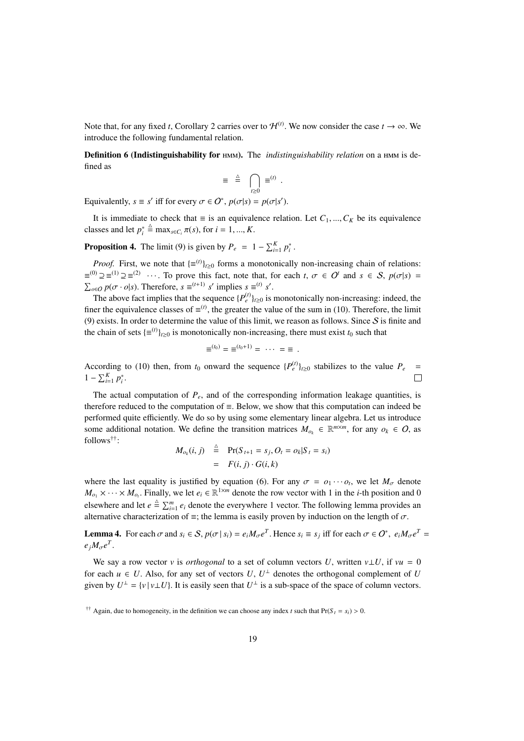Note that, for any fixed *t*, Corollary 2 carries over to  $\mathcal{H}^{(t)}$ . We now consider the case  $t \to \infty$ . We introduce the following fundamental relation.

Definition 6 (Indistinguishability for hmm). The *indistinguishability relation* on a hmm is defined as

$$
\equiv \stackrel{\triangle}{=} \bigcap_{t \geq 0} \equiv^{(t)}
$$

Equivalently,  $s \equiv s'$  iff for every  $\sigma \in O^*$ ,  $p(\sigma|s) = p(\sigma|s')$ .

It is immediate to check that  $\equiv$  is an equivalence relation. Let  $C_1, ..., C_K$  be its equivalence classes and let  $p_i^*$  $\sum_{i=1}^{n} \max_{s \in C_i} \pi(s)$ , for  $i = 1, ..., K$ .

**Proposition 4.** The limit (9) is given by  $P_e = 1 - \sum_{i=1}^{K} p_i^*$ .

*Proof.* First, we note that  $\{\equiv^{(t)}\}_{t\geq0}$  forms a monotonically non-increasing chain of relations:  $\equiv$ <sup>(0)</sup> ⊇  $\equiv$ <sup>(1)</sup> ⊇  $\equiv$ <sup>(2)</sup> ... To prove this fact, note that, for each *t*,  $\sigma \in O^t$  and  $s \in S$ ,  $p(\sigma|s)$  =  $\sum_{o \in O} p(\sigma \cdot o|s)$ . Therefore,  $s \equiv (t+1)$  *s'* implies  $s \equiv (t)$  *s'*.

The above fact implies that the sequence  $\{P_e^{(t)}\}_{t\geq0}$  is monotonically non-increasing: indeed, the finer the equivalence classes of  $\equiv^{(t)}$ , the greater the value of the sum in (10). Therefore, the limit (9) exists. In order to determine the value of this limit, we reason as follows. Since  $S$  is finite and the chain of sets  $\{\equiv^{(t)}\}_{t\geq0}$  is monotonically non-increasing, there must exist  $t_0$  such that

$$
\equiv
$$
<sup>(t<sub>0</sub>)</sup> =  $\equiv$ <sup>(t<sub>0</sub>+1)</sup> =  $\cdots$  =  $\equiv$ .

According to (10) then, from  $t_0$  onward the sequence  ${P_e^{(t)}}_{t\geq0}$  stabilizes to the value  $P_e$  =  $1 - \sum_{i=1}^{K} p_i^*$ .  $\Box$ 

The actual computation of  $P_e$ , and of the corresponding information leakage quantities, is therefore reduced to the computation of ≡. Below, we show that this computation can indeed be performed quite efficiently. We do so by using some elementary linear algebra. Let us introduce some additional notation. We define the transition matrices  $M_{o_k} \in \mathbb{R}^{m \times m}$ , for any  $o_k \in O$ , as follows††:

$$
M_{o_k}(i, j) \triangleq \Pr(S_{t+1} = s_j, O_t = o_k | S_t = s_i)
$$
  
=  $F(i, j) \cdot G(i, k)$ 

where the last equality is justified by equation (6). For any  $\sigma = o_1 \cdots o_t$ , we let  $M_{\sigma}$  denote  $M_{\sigma} \times \cdots \times M_{\sigma}$  limitly we let  $a \in \mathbb{R}^{1 \times m}$  denote the row vector with 1 in the *i* th position and 0  $M_{o_1} \times \cdots \times M_{o_t}$ . Finally, we let  $e_i \in \mathbb{R}^{1 \times m}$  denote the row vector with 1 in the *i*-th position and 0 elsewhere and let  $e \triangleq \sum_{i=1}^{m} e_i$  denote the everywhere 1 vector. The following lemma provides an alternative characterization of  $\equiv$ ; the lemma is easily proven by induction on the length of  $\sigma$ .

**Lemma 4.** For each  $\sigma$  and  $s_i \in S$ ,  $p(\sigma | s_i) = e_i M_{\sigma} e^T$ . Hence  $s_i \equiv s_j$  iff for each  $\sigma \in O^*$ ,  $e_i M_{\sigma} e^T =$  $e_j M_\sigma e^T$ .

We say a row vector *v* is *orthogonal* to a set of column vectors *U*, written  $v \perp U$ , if  $vu = 0$ for each  $u \in U$ . Also, for any set of vectors  $U, U^{\perp}$  denotes the orthogonal complement of *U* given by  $U^{\perp} = \{v | v \perp U\}$ . It is easily seen that  $U^{\perp}$  is a sub-space of the space of column vectors.

<sup>&</sup>lt;sup>††</sup> Again, due to homogeneity, in the definition we can choose any index *t* such that  $Pr(S_t = s_i) > 0$ .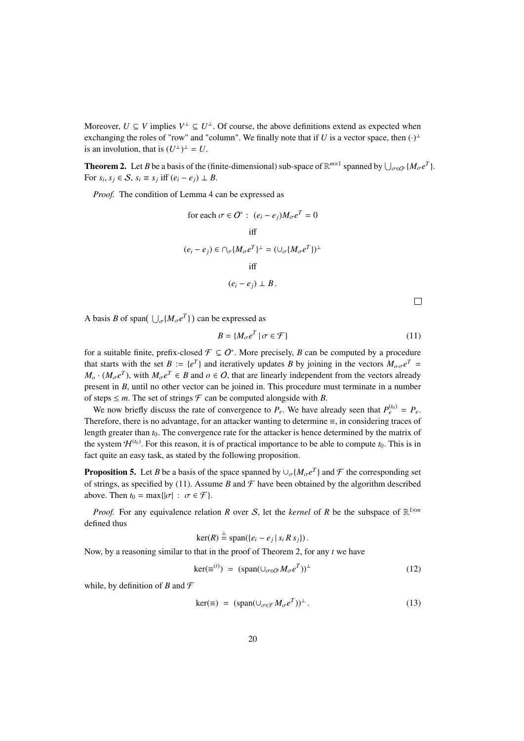Moreover,  $U \subseteq V$  implies  $V^{\perp} \subseteq U^{\perp}$ . Of course, the above definitions extend as expected when exchanging the roles of "row" and "column". We finally note that if *U* is a vector space, then  $(\cdot)^{\perp}$ is an involution, that is  $(U^{\perp})^{\perp} = U$ .

**Theorem 2.** Let *B* be a basis of the (finite-dimensional) sub-space of  $\mathbb{R}^{m \times 1}$  spanned by  $\bigcup_{\sigma \in O^*} \{M_{\sigma}e^T\}$ . For  $s_i$ ,  $s_j \in S$ ,  $s_i \equiv s_j$  iff  $(e_i - e_j) \perp B$ .

*Proof.* The condition of Lemma 4 can be expressed as

for each 
$$
\sigma \in O^*
$$
 :  $(e_i - e_j)M_{\sigma}e^T = 0$   
iff  
 $(e_i - e_j) \in \bigcap_{\sigma} \{M_{\sigma}e^T\}^{\perp} = (\bigcup_{\sigma} \{M_{\sigma}e^T\})^{\perp}$   
iff  
 $(e_i - e_j) \perp B$ .

 $\Box$ 

A basis *B* of span(  $\bigcup_{\sigma} \{ M_{\sigma} e^{T} \}$ ) can be expressed as

$$
B = \{M_{\sigma}e^{T} | \sigma \in \mathcal{F}\}\
$$
 (11)

for a suitable finite, prefix-closed  $\mathcal{F} \subseteq O^*$ . More precisely, *B* can be computed by a procedure that starts with the set  $B := \{e^T\}$  and iteratively updates *B* by joining in the vectors  $M_{\sigma\sigma}e^T = M_{\sigma\sigma}e^{T}$ . *M<sub>o</sub>* · ( $M_{\sigma}e^{T}$ ), with  $M_{\sigma}e^{T} \in B$  and  $o \in O$ , that are linearly independent from the vectors already present in *B*, until no other vector can be joined in. This procedure must terminate in a number of steps  $\leq$  *m*. The set of strings  $\mathcal F$  can be computed alongside with *B*.

We now briefly discuss the rate of convergence to  $P_e$ . We have already seen that  $P_e^{(t_0)} = P_e$ . Therefore, there is no advantage, for an attacker wanting to determine ≡, in considering traces of length greater than  $t_0$ . The convergence rate for the attacker is hence determined by the matrix of the system  $\mathcal{H}^{(t_0)}$ . For this reason, it is of practical importance to be able to compute  $t_0$ . This is in fact quite an easy task, as stated by the following proposition.

**Proposition 5.** Let *B* be a basis of the space spanned by  $\cup_{\sigma} \{M_{\sigma}e^{T}\}\$  and *F* the corresponding set of strings, as specified by (11). Assume *B* and  $\mathcal F$  have been obtained by the algorithm described above. Then  $t_0 = \max\{|\sigma| : \sigma \in \mathcal{F}\}.$ 

*Proof.* For any equivalence relation *R* over *S*, let the *kernel* of *R* be the subspace of  $\mathbb{R}^{1 \times m}$ defined thus

$$
\ker(R) \stackrel{\triangle}{=} \operatorname{span}(\{e_i - e_j \mid s_i \, R \, s_j\}).
$$

Now, by a reasoning similar to that in the proof of Theorem 2, for any *t* we have

$$
\ker(\equiv^{(t)}) = (\text{span}(\cup_{\sigma \in \mathcal{O}'} M_{\sigma} e^T))^{\perp} \tag{12}
$$

while, by definition of *B* and  $\mathcal F$ 

$$
\ker(\equiv) = (\text{span}(\cup_{\sigma \in \mathcal{F}} M_{\sigma} e^T))^{\perp}.
$$
 (13)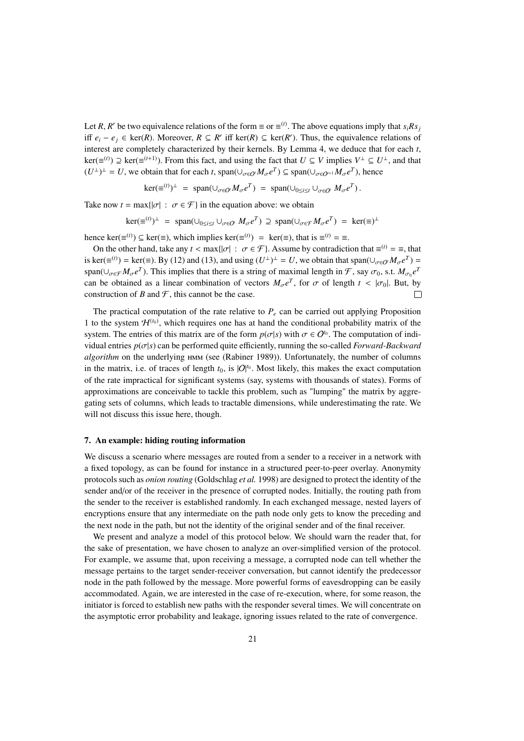Let *R*, *R'* be two equivalence relations of the form  $\equiv$  or  $\equiv$ <sup>(*t*)</sup>. The above equations imply that *s*<sub>*i*</sub>*Rs*<sub>*j*</sub> iff  $e_i - e_j \in \text{ker}(R)$ . Moreover,  $R \subseteq R'$  iff  $\text{ker}(R) \subseteq \text{ker}(R')$ . Thus, the equivalence relations of interest are completely characterized by their kernels. By Lemma 4, we deduce that for each *t*,  $\ker(\equiv^{(t)}) \supseteq \ker(\equiv^{(t+1)})$ . From this fact, and using the fact that  $U \subseteq V$  implies  $V^{\perp} \subseteq U^{\perp}$ , and that  $(U^{\perp})^{\perp} = U$ , we obtain that for each *t*, span $(\cup_{\sigma \in \mathcal{O}'} M_{\sigma} e^T) \subseteq \text{span}(\cup_{\sigma \in \mathcal{O}'} M_{\sigma} e^T)$ , hence

$$
\ker(\equiv^{(t)})^{\perp} = \text{span}(\cup_{\sigma \in O^t} M_{\sigma} e^T) = \text{span}(\cup_{0 \le i \le t} \cup_{\sigma \in O^i} M_{\sigma} e^T).
$$

Take now  $t = \max\{|\sigma| : \sigma \in \mathcal{F}\}\$ in the equation above: we obtain

 $\ker(\equiv^{(t)})^{\perp} = \text{span}(\cup_{0 \leq i \leq t} \cup_{\sigma \in \mathcal{O}^i} M_{\sigma} e^T) \supseteq \text{span}(\cup_{\sigma \in \mathcal{F}} M_{\sigma} e^T) = \ker(\equiv)^{\perp}$ 

hence ker( $\equiv$ <sup>(*t*)</sup>)  $\subseteq$  ker( $\equiv$ ), which implies ker( $\equiv$ <sup>(*t*)</sup>) = ker( $\equiv$ ), that is  $\equiv$ <sup>(*t*)</sup> =  $\equiv$ .

On the other hand, take any  $t < \max\{| \sigma | : \sigma \in \mathcal{F} \}$ . Assume by contradiction that  $\equiv^{(t)} \equiv \equiv$ , that is ker( $\equiv$ <sup>(*t*)</sup>) = ker( $\equiv$ ). By (12) and (13), and using  $(U^{\perp})^{\perp} = U$ , we obtain that span( $\cup_{\sigma \in O} M_{\sigma} e^{T}$ ) =  $\text{span}(\cup_{\sigma \in \mathcal{F}} M_{\sigma} e^T)$ . This implies that there is a string of maximal length in  $\mathcal{F}$ , say  $\sigma_0$ , s.t.  $M_{\sigma_0} e^T$ can be obtained as a linear combination of vectors  $M_{\sigma}e^{T}$ , for  $\sigma$  of length  $t < |\sigma_0|$ . But, by construction of *P* and  $\mathcal{F}$ , this cannot be the case. construction of *B* and  $\mathcal F$ , this cannot be the case.

The practical computation of the rate relative to  $P_e$  can be carried out applying Proposition 1 to the system  $\mathcal{H}^{(t_0)}$ , which requires one has at hand the conditional probability matrix of the system. The entries of this matrix are of the form  $p(\sigma|s)$  with  $\sigma \in O^{t_0}$ . The computation of indi-<br>vidual ortrics  $p(\sigma|s)$  can be performed quite efficiently running the so-called *Formuard Bashmard* vidual entries  $p(\sigma|s)$  can be performed quite efficiently, running the so-called *Forward-Backward algorithm* on the underlying hmm (see (Rabiner 1989)). Unfortunately, the number of columns in the matrix, i.e. of traces of length  $t_0$ , is  $|O|^{t_0}$ . Most likely, this makes the exact computation of the rate impractical for significant systems (say, systems with thousands of states). Forms of approximations are conceivable to tackle this problem, such as "lumping" the matrix by aggregating sets of columns, which leads to tractable dimensions, while underestimating the rate. We will not discuss this issue here, though.

#### 7. An example: hiding routing information

We discuss a scenario where messages are routed from a sender to a receiver in a network with a fixed topology, as can be found for instance in a structured peer-to-peer overlay. Anonymity protocols such as *onion routing* (Goldschlag *et al.* 1998) are designed to protect the identity of the sender and/or of the receiver in the presence of corrupted nodes. Initially, the routing path from the sender to the receiver is established randomly. In each exchanged message, nested layers of encryptions ensure that any intermediate on the path node only gets to know the preceding and the next node in the path, but not the identity of the original sender and of the final receiver.

We present and analyze a model of this protocol below. We should warn the reader that, for the sake of presentation, we have chosen to analyze an over-simplified version of the protocol. For example, we assume that, upon receiving a message, a corrupted node can tell whether the message pertains to the target sender-receiver conversation, but cannot identify the predecessor node in the path followed by the message. More powerful forms of eavesdropping can be easily accommodated. Again, we are interested in the case of re-execution, where, for some reason, the initiator is forced to establish new paths with the responder several times. We will concentrate on the asymptotic error probability and leakage, ignoring issues related to the rate of convergence.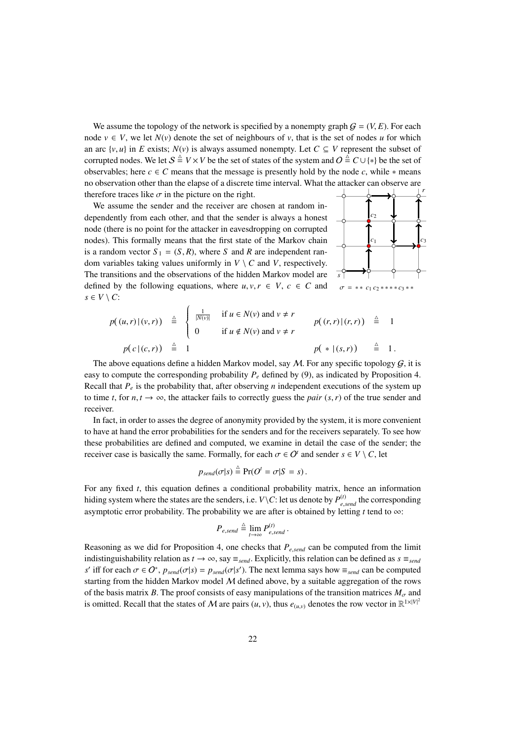We assume the topology of the network is specified by a nonempty graph  $G = (V, E)$ . For each node  $v \in V$ , we let  $N(v)$  denote the set of neighbours of v, that is the set of nodes u for which an arc  $\{v, u\}$  in *E* exists;  $N(v)$  is always assumed nonempty. Let  $C \subseteq V$  represent the subset of corrupted nodes. We let  $S \triangleq V \times V$  be the set of states of the system and  $O \triangleq C \cup \{*\}$  be the set of observables; here  $c \in C$  means that the message is presently hold by the node c, while  $*$  means no observation other than the elapse of a discrete time interval. What the attacker can observe are therefore traces like  $\sigma$  in the picture on the right.

We assume the sender and the receiver are chosen at random independently from each other, and that the sender is always a honest node (there is no point for the attacker in eavesdropping on corrupted nodes). This formally means that the first state of the Markov chain is a random vector  $S_1 = (S, R)$ , where *S* and *R* are independent random variables taking values uniformly in  $V \setminus C$  and  $V$ , respectively. The transitions and the observations of the hidden Markov model are defined by the following equations, where  $u, v, r \in V$ ,  $c \in C$  and  $s \in V \setminus C$ :



$$
p((u,r)|(v,r)) \triangleq \begin{cases} \frac{1}{|N(v)|} & \text{if } u \in N(v) \text{ and } v \neq r \\ 0 & \text{if } u \notin N(v) \text{ and } v \neq r \end{cases} \qquad p((r,r)|(r,r)) \triangleq 1
$$
  

$$
p(c|(c,r)) \triangleq 1 \qquad p(*|(s,r)) \triangleq 1.
$$

The above equations define a hidden Markov model, say M. For any specific topology  $G$ , it is easy to compute the corresponding probability  $P_e$  defined by (9), as indicated by Proposition 4. Recall that  $P_e$  is the probability that, after observing *n* independent executions of the system up to time *t*, for  $n, t \to \infty$ , the attacker fails to correctly guess the *pair*  $(s, r)$  of the true sender and receiver.

In fact, in order to asses the degree of anonymity provided by the system, it is more convenient to have at hand the error probabilities for the senders and for the receivers separately. To see how these probabilities are defined and computed, we examine in detail the case of the sender; the receiver case is basically the same. Formally, for each  $\sigma \in O^t$  and sender  $s \in V \setminus C$ , let

$$
p_{send}(\sigma|s) \stackrel{\triangle}{=} \Pr(O^t = \sigma|S = s).
$$

For any fixed *t*, this equation defines a conditional probability matrix, hence an information hiding system where the states are the senders, i.e.  $V\setminus C$ : let us denote by  $P_{e,send}^{(t)}$  the corresponding<br>asymptotic error probability. The probability we are after is obtained by letting t tend to  $\infty$ . asymptotic error probability. The probability we are after is obtained by letting  $t$  tend to  $\infty$ :

$$
P_{e,send} \triangleq \lim_{t \to \infty} P_{e,send}^{(t)}.
$$

Reasoning as we did for Proposition 4, one checks that *<sup>P</sup><sup>e</sup>*,*send* can be computed from the limit indistinguishability relation as  $t \to \infty$ , say  $\equiv_{send}$ . Explicitly, this relation can be defined as  $s \equiv_{send}$ s' iff for each  $σ ∈ O<sup>*</sup>$ ,  $p<sub>send</sub>(σ|s) = p<sub>send</sub>(σ|s')$ . The next lemma says how ≡<sub>*send*</sub> can be computed starting from the hidden Markov model  $M$  defined above, by a suitable aggregation of the rows of the basis matrix *B*. The proof consists of easy manipulations of the transition matrices  $M_{\sigma}$  and is omitted. Recall that the states of M are pairs  $(u, v)$ , thus  $e_{(u,v)}$  denotes the row vector in  $\mathbb{R}^{1 \times |V|^2}$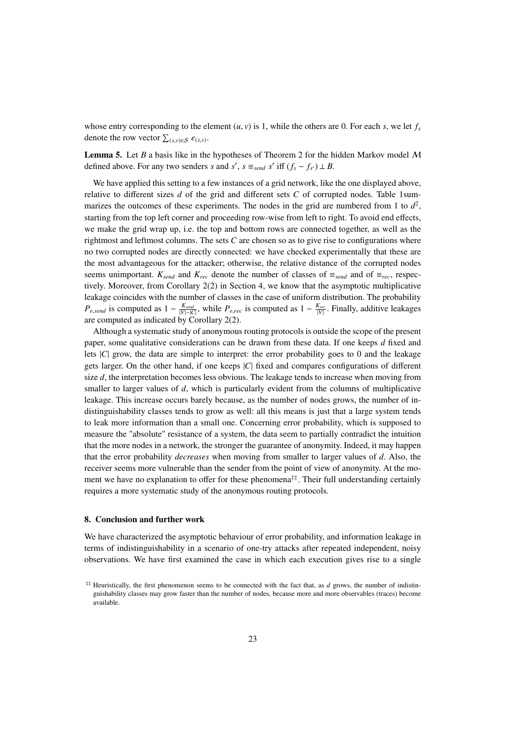whose entry corresponding to the element  $(u, v)$  is 1, while the others are 0. For each *s*, we let  $f_s$ denote the row vector  $\sum_{(s,v)\in\mathcal{S}} e_{(s,v)}$ .

**Lemma 5.** Let *B* a basis like in the hypotheses of Theorem 2 for the hidden Markov model  $M$ defined above. For any two senders *s* and *s'*,  $s \equiv_{send} s'$  iff  $(f_s - f_{s'}) \perp B$ .

We have applied this setting to a few instances of a grid network, like the one displayed above, relative to different sizes *d* of the grid and different sets *C* of corrupted nodes. Table 1summarizes the outcomes of these experiments. The nodes in the grid are numbered from 1 to  $d^2$ , starting from the top left corner and proceeding row-wise from left to right. To avoid end effects, we make the grid wrap up, i.e. the top and bottom rows are connected together, as well as the rightmost and leftmost columns. The sets *C* are chosen so as to give rise to configurations where no two corrupted nodes are directly connected: we have checked experimentally that these are the most advantageous for the attacker; otherwise, the relative distance of the corrupted nodes seems unimportant.  $K_{send}$  and  $K_{rec}$  denote the number of classes of  $\equiv_{send}$  and of  $\equiv_{rec}$ , respectively. Moreover, from Corollary 2(2) in Section 4, we know that the asymptotic multiplicative leakage coincides with the number of classes in the case of uniform distribution. The probability  $P_{e, send}$  is computed as  $1 - \frac{K_{send}}{|V| - |C|}$ , while  $P_{e, rec}$  is computed as  $1 - \frac{K_{rec}}{|V|}$ . Finally, additive leakages are computed as indicated by Corollary 2(2).

Although a systematic study of anonymous routing protocols is outside the scope of the present paper, some qualitative considerations can be drawn from these data. If one keeps *d* fixed and lets |*C*| grow, the data are simple to interpret: the error probability goes to 0 and the leakage gets larger. On the other hand, if one keeps |*C*| fixed and compares configurations of different size *d*, the interpretation becomes less obvious. The leakage tends to increase when moving from smaller to larger values of *d*, which is particularly evident from the columns of multiplicative leakage. This increase occurs barely because, as the number of nodes grows, the number of indistinguishability classes tends to grow as well: all this means is just that a large system tends to leak more information than a small one. Concerning error probability, which is supposed to measure the "absolute" resistance of a system, the data seem to partially contradict the intuition that the more nodes in a network, the stronger the guarantee of anonymity. Indeed, it may happen that the error probability *decreases* when moving from smaller to larger values of *d*. Also, the receiver seems more vulnerable than the sender from the point of view of anonymity. At the moment we have no explanation to offer for these phenomena<sup>‡‡</sup>. Their full understanding certainly requires a more systematic study of the anonymous routing protocols.

# 8. Conclusion and further work

We have characterized the asymptotic behaviour of error probability, and information leakage in terms of indistinguishability in a scenario of one-try attacks after repeated independent, noisy observations. We have first examined the case in which each execution gives rise to a single

<sup>‡‡</sup> Heuristically, the first phenomenon seems to be connected with the fact that, as *d* grows, the number of indistinguishability classes may grow faster than the number of nodes, because more and more observables (traces) become available.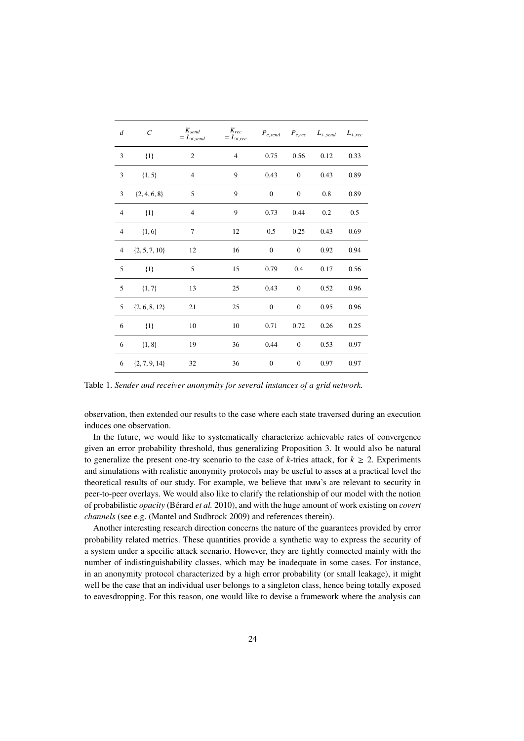| $\boldsymbol{d}$            | $\mathcal{C}_{0}^{0}$ | $K_{send}$<br>$=L_{\times, send}$ | $K_{rec}$<br>$=L_{\times,rec}$ | $P_{e,send}$     |                  | $P_{e,rec}$ $L_{+,send}$ $L_{+,rec}$ |      |
|-----------------------------|-----------------------|-----------------------------------|--------------------------------|------------------|------------------|--------------------------------------|------|
| $\mathfrak{Z}$              | ${1}$                 | $\mathfrak{2}$                    | $\overline{4}$                 | 0.75             | 0.56             | 0.12                                 | 0.33 |
| $\ensuremath{\mathfrak{Z}}$ | $\{1, 5\}$            | $\overline{4}$                    | 9                              | 0.43             | $\boldsymbol{0}$ | 0.43                                 | 0.89 |
| 3                           | $\{2, 4, 6, 8\}$      | 5                                 | 9                              | $\boldsymbol{0}$ | $\boldsymbol{0}$ | 0.8                                  | 0.89 |
| $\overline{4}$              | ${1}$                 | $\overline{4}$                    | 9                              | 0.73             | 0.44             | 0.2                                  | 0.5  |
| $\overline{4}$              | $\{1, 6\}$            | $\tau$                            | 12                             | 0.5              | 0.25             | 0.43                                 | 0.69 |
| $\overline{4}$              | $\{2, 5, 7, 10\}$     | 12                                | 16                             | $\theta$         | $\mathbf{0}$     | 0.92                                 | 0.94 |
| 5                           | ${1}$                 | 5                                 | 15                             | 0.79             | 0.4              | 0.17                                 | 0.56 |
| $\mathfrak s$               | $\{1, 7\}$            | 13                                | 25                             | 0.43             | $\boldsymbol{0}$ | 0.52                                 | 0.96 |
| 5                           | $\{2, 6, 8, 12\}$     | 21                                | 25                             | $\boldsymbol{0}$ | $\mathbf{0}$     | 0.95                                 | 0.96 |
| 6                           | ${1}$                 | 10                                | 10                             | 0.71             | 0.72             | 0.26                                 | 0.25 |
| 6                           | ${1, 8}$              | 19                                | 36                             | 0.44             | $\mathbf{0}$     | 0.53                                 | 0.97 |
| 6                           | $\{2, 7, 9, 14\}$     | 32                                | 36                             | $\boldsymbol{0}$ | $\mathbf{0}$     | 0.97                                 | 0.97 |

Table 1. *Sender and receiver anonymity for several instances of a grid network.*

observation, then extended our results to the case where each state traversed during an execution induces one observation.

In the future, we would like to systematically characterize achievable rates of convergence given an error probability threshold, thus generalizing Proposition 3. It would also be natural to generalize the present one-try scenario to the case of *k*-tries attack, for  $k \ge 2$ . Experiments and simulations with realistic anonymity protocols may be useful to asses at a practical level the theoretical results of our study. For example, we believe that hmm's are relevant to security in peer-to-peer overlays. We would also like to clarify the relationship of our model with the notion of probabilistic *opacity* (Bérard *et al.* 2010), and with the huge amount of work existing on *covert channels* (see e.g. (Mantel and Sudbrock 2009) and references therein).

Another interesting research direction concerns the nature of the guarantees provided by error probability related metrics. These quantities provide a synthetic way to express the security of a system under a specific attack scenario. However, they are tightly connected mainly with the number of indistinguishability classes, which may be inadequate in some cases. For instance, in an anonymity protocol characterized by a high error probability (or small leakage), it might well be the case that an individual user belongs to a singleton class, hence being totally exposed to eavesdropping. For this reason, one would like to devise a framework where the analysis can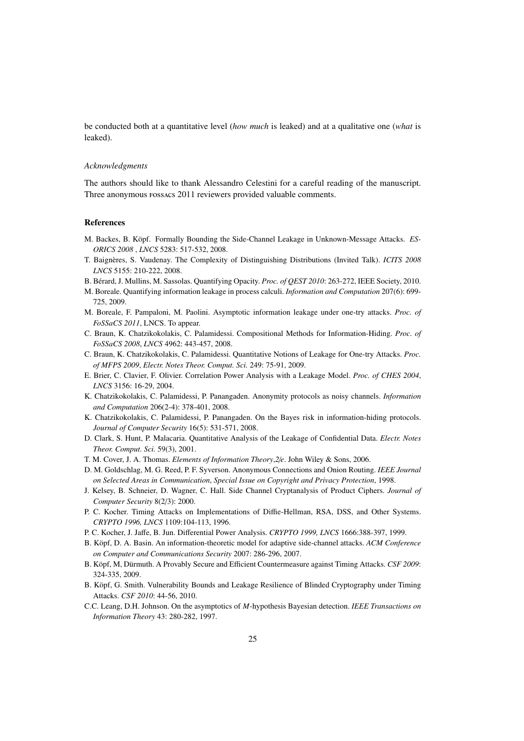be conducted both at a quantitative level (*how much* is leaked) and at a qualitative one (*what* is leaked).

#### *Acknowledgments*

The authors should like to thank Alessandro Celestini for a careful reading of the manuscript. Three anonymous fossacs 2011 reviewers provided valuable comments.

#### References

- M. Backes, B. Köpf. Formally Bounding the Side-Channel Leakage in Unknown-Message Attacks. *ES-ORICS 2008* , *LNCS* 5283: 517-532, 2008.
- T. Baignères, S. Vaudenay. The Complexity of Distinguishing Distributions (Invited Talk). *ICITS 2008 LNCS* 5155: 210-222, 2008.
- B. Bérard, J. Mullins, M. Sassolas. Quantifying Opacity. *Proc. of QEST 2010*: 263-272, IEEE Society, 2010.
- M. Boreale. Quantifying information leakage in process calculi. *Information and Computation* 207(6): 699- 725, 2009.
- M. Boreale, F. Pampaloni, M. Paolini. Asymptotic information leakage under one-try attacks. *Proc. of FoSSaCS 2011*, LNCS. To appear.
- C. Braun, K. Chatzikokolakis, C. Palamidessi. Compositional Methods for Information-Hiding. *Proc. of FoSSaCS 2008*, *LNCS* 4962: 443-457, 2008.
- C. Braun, K. Chatzikokolakis, C. Palamidessi. Quantitative Notions of Leakage for One-try Attacks. *Proc. of MFPS 2009*, *Electr. Notes Theor. Comput. Sci.* 249: 75-91, 2009.
- E. Brier, C. Clavier, F. Olivier. Correlation Power Analysis with a Leakage Model. *Proc. of CHES 2004*, *LNCS* 3156: 16-29, 2004.
- K. Chatzikokolakis, C. Palamidessi, P. Panangaden. Anonymity protocols as noisy channels. *Information and Computation* 206(2-4): 378-401, 2008.
- K. Chatzikokolakis, C. Palamidessi, P. Panangaden. On the Bayes risk in information-hiding protocols. *Journal of Computer Security* 16(5): 531-571, 2008.
- D. Clark, S. Hunt, P. Malacaria. Quantitative Analysis of the Leakage of Confidential Data. *Electr. Notes Theor. Comput. Sci.* 59(3), 2001.
- T. M. Cover, J. A. Thomas. *Elements of Information Theory*,*2*/*e*. John Wiley & Sons, 2006.
- D. M. Goldschlag, M. G. Reed, P. F. Syverson. Anonymous Connections and Onion Routing. *IEEE Journal on Selected Areas in Communication*, *Special Issue on Copyright and Privacy Protection*, 1998.
- J. Kelsey, B. Schneier, D. Wagner, C. Hall. Side Channel Cryptanalysis of Product Ciphers. *Journal of Computer Security* 8(2/3): 2000.
- P. C. Kocher. Timing Attacks on Implementations of Diffie-Hellman, RSA, DSS, and Other Systems. *CRYPTO 1996, LNCS* 1109:104-113, 1996.
- P. C. Kocher, J. Jaffe, B. Jun. Differential Power Analysis. *CRYPTO 1999, LNCS* 1666:388-397, 1999.
- B. Köpf, D. A. Basin. An information-theoretic model for adaptive side-channel attacks. *ACM Conference on Computer and Communications Security* 2007: 286-296, 2007.
- B. Köpf, M, Dürmuth. A Provably Secure and Efficient Countermeasure against Timing Attacks. *CSF 2009*: 324-335, 2009.
- B. Köpf, G. Smith. Vulnerability Bounds and Leakage Resilience of Blinded Cryptography under Timing Attacks. *CSF 2010*: 44-56, 2010.
- C.C. Leang, D.H. Johnson. On the asymptotics of *M*-hypothesis Bayesian detection. *IEEE Transactions on Information Theory* 43: 280-282, 1997.